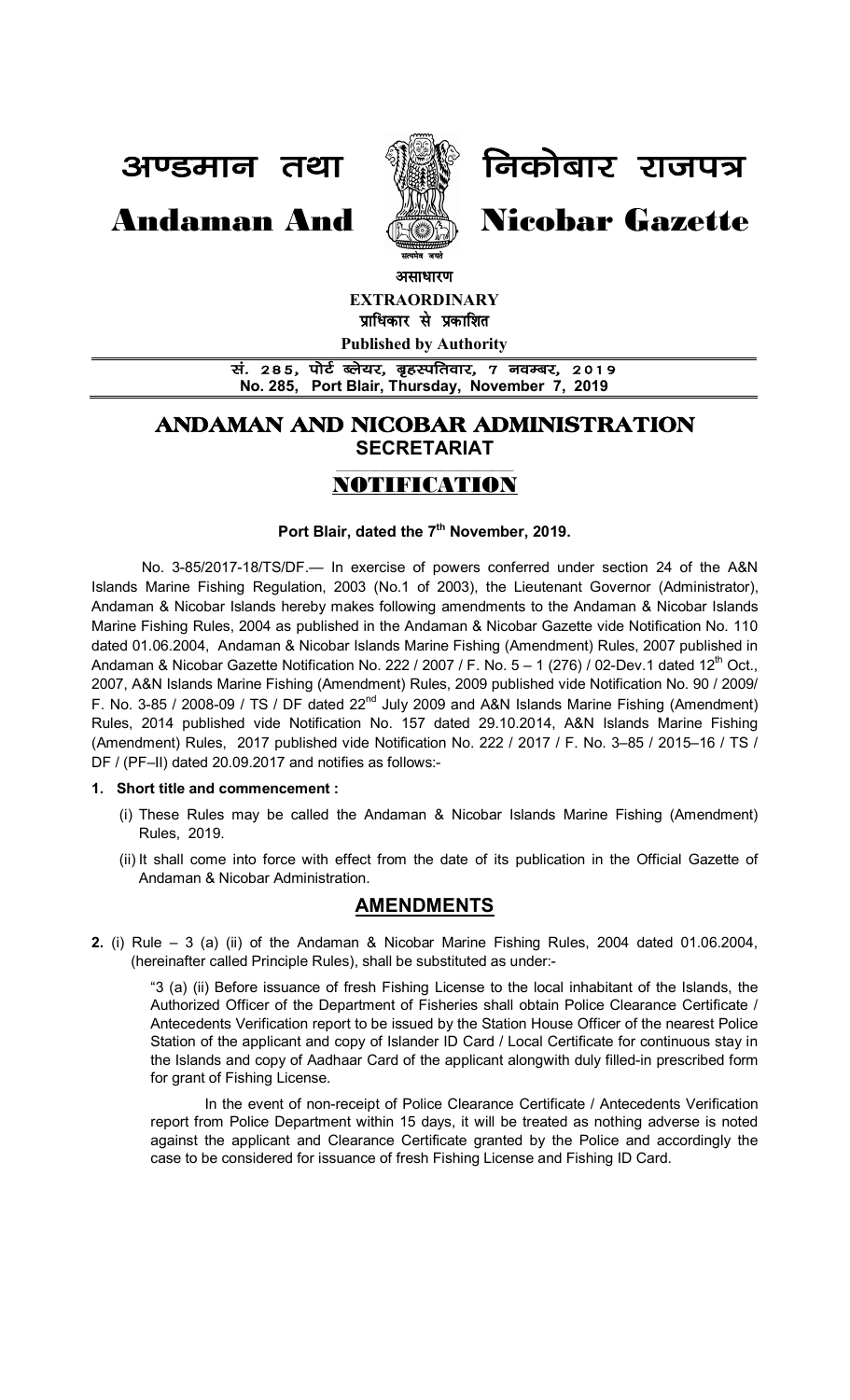अण्डमान तथा

**Andaman And**



<u>निकोबार राजपत्र</u>

**Nicobar Gazette**

*असाधारण* 

**EXTRAORDINARY प्राधिकार से प्रकाशित** 

**Published by Authority**

<u>सं. 285, पोर्ट ब्लेयर, बृहस्पतिवार, 7 नवम्बर, 2019</u> **No. 285, Port Blair, Thursday, November 7, 2019**

## **ANDAMAN AND NICOBAR ADMINISTRATION SECRETARIAT**

#### \_\_\_\_\_\_\_\_\_\_\_\_\_\_\_\_\_\_\_\_\_\_\_\_\_\_\_\_\_\_\_\_ **NOTIFICATION**

### **Port Blair, dated the 7 th November, 2019.**

No. 3-85/2017-18/TS/DF.— In exercise of powers conferred under section 24 of the A&N Islands Marine Fishing Regulation, 2003 (No.1 of 2003), the Lieutenant Governor (Administrator), Andaman & Nicobar Islands hereby makes following amendments to the Andaman & Nicobar Islands Marine Fishing Rules, 2004 as published in the Andaman & Nicobar Gazette vide Notification No. 110 dated 01.06.2004, Andaman & Nicobar Islands Marine Fishing (Amendment) Rules, 2007 published in Andaman & Nicobar Gazette Notification No. 222 / 2007 / F. No.  $5 - 1$  (276) / 02-Dev.1 dated 12<sup>th</sup> Oct., 2007, A&N Islands Marine Fishing (Amendment) Rules, 2009 published vide Notification No. 90 / 2009/ F. No. 3-85 / 2008-09 / TS / DF dated  $22<sup>nd</sup>$  July 2009 and A&N Islands Marine Fishing (Amendment) Rules, 2014 published vide Notification No. 157 dated 29.10.2014, A&N Islands Marine Fishing (Amendment) Rules, 2017 published vide Notification No. 222 / 2017 / F. No. 3–85 / 2015–16 / TS / DF / (PF–II) dated 20.09.2017 and notifies as follows:-

### **1. Short title and commencement :**

- (i) These Rules may be called the Andaman & Nicobar Islands Marine Fishing (Amendment) Rules, 2019.
- (ii) It shall come into force with effect from the date of its publication in the Official Gazette of Andaman & Nicobar Administration.

## **AMENDMENTS**

**2.** (i) Rule – 3 (a) (ii) of the Andaman & Nicobar Marine Fishing Rules, 2004 dated 01.06.2004, (hereinafter called Principle Rules), shall be substituted as under:-

"3 (a) (ii) Before issuance of fresh Fishing License to the local inhabitant of the Islands, the Authorized Officer of the Department of Fisheries shall obtain Police Clearance Certificate / Antecedents Verification report to be issued by the Station House Officer of the nearest Police Station of the applicant and copy of Islander ID Card / Local Certificate for continuous stay in the Islands and copy of Aadhaar Card of the applicant alongwith duly filled-in prescribed form for grant of Fishing License.

In the event of non-receipt of Police Clearance Certificate / Antecedents Verification report from Police Department within 15 days, it will be treated as nothing adverse is noted against the applicant and Clearance Certificate granted by the Police and accordingly the case to be considered for issuance of fresh Fishing License and Fishing ID Card.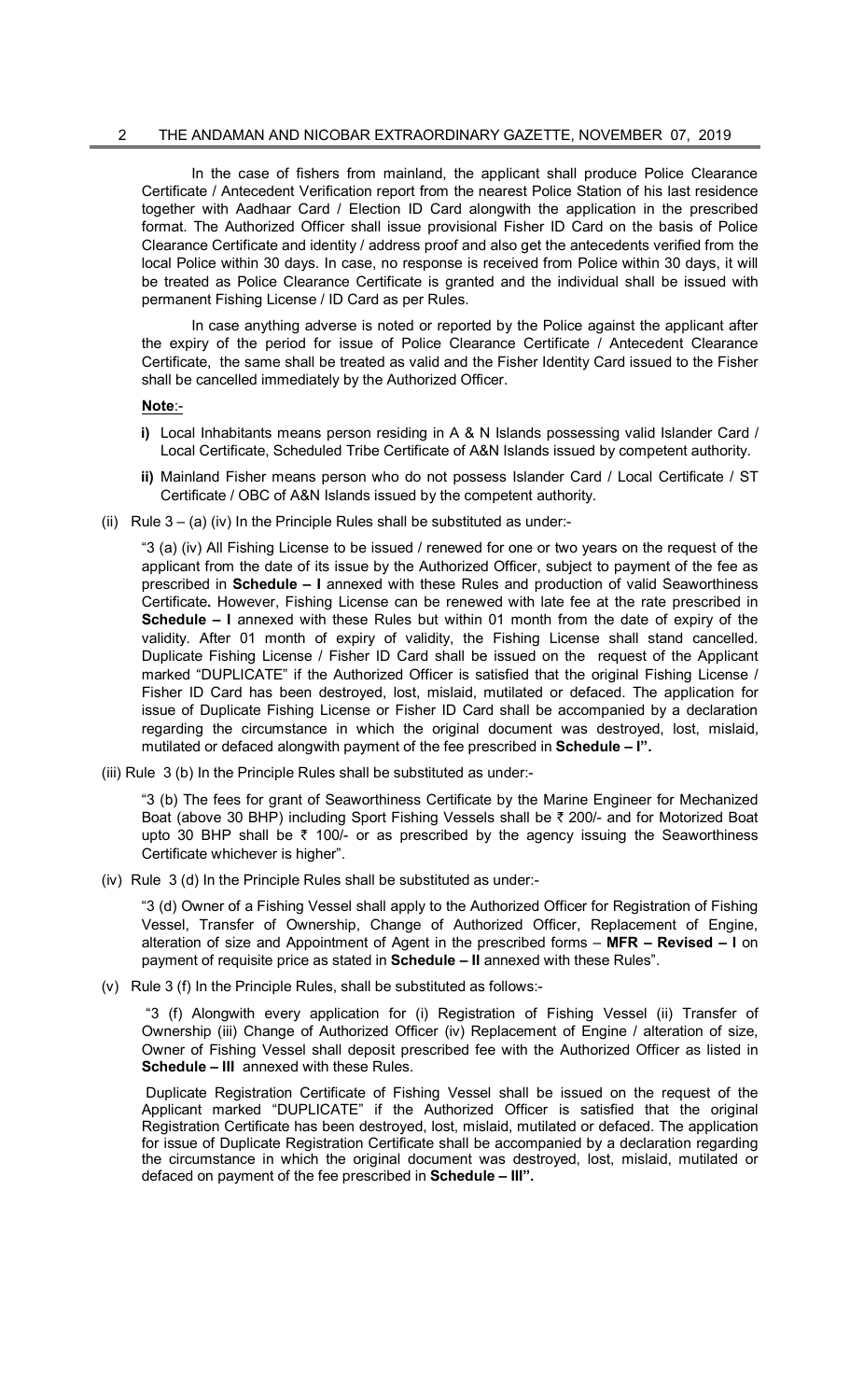#### 2 THE ANDAMAN AND NICOBAR EXTRAORDINARY GAZETTE, NOVEMBER 07, 2019

In the case of fishers from mainland, the applicant shall produce Police Clearance Certificate / Antecedent Verification report from the nearest Police Station of his last residence together with Aadhaar Card / Election ID Card alongwith the application in the prescribed format. The Authorized Officer shall issue provisional Fisher ID Card on the basis of Police Clearance Certificate and identity / address proof and also get the antecedents verified from the local Police within 30 days. In case, no response is received from Police within 30 days, it will be treated as Police Clearance Certificate is granted and the individual shall be issued with permanent Fishing License / ID Card as per Rules.

In case anything adverse is noted or reported by the Police against the applicant after the expiry of the period for issue of Police Clearance Certificate / Antecedent Clearance Certificate, the same shall be treated as valid and the Fisher Identity Card issued to the Fisher shall be cancelled immediately by the Authorized Officer.

#### **Note**:-

- **i)** Local Inhabitants means person residing in A & N Islands possessing valid Islander Card / Local Certificate, Scheduled Tribe Certificate of A&N Islands issued by competent authority.
- **ii)** Mainland Fisher means person who do not possess Islander Card / Local Certificate / ST Certificate / OBC of A&N Islands issued by the competent authority.
- (ii) Rule  $3 (a)$  (iv) In the Principle Rules shall be substituted as under:-

"3 (a) (iv) All Fishing License to be issued / renewed for one or two years on the request of the applicant from the date of its issue by the Authorized Officer, subject to payment of the fee as prescribed in **Schedule – I** annexed with these Rules and production of valid Seaworthiness Certificate**.** However, Fishing License can be renewed with late fee at the rate prescribed in **Schedule – I** annexed with these Rules but within 01 month from the date of expiry of the validity. After 01 month of expiry of validity, the Fishing License shall stand cancelled. Duplicate Fishing License / Fisher ID Card shall be issued on the request of the Applicant marked "DUPLICATE" if the Authorized Officer is satisfied that the original Fishing License / Fisher ID Card has been destroyed, lost, mislaid, mutilated or defaced. The application for issue of Duplicate Fishing License or Fisher ID Card shall be accompanied by a declaration regarding the circumstance in which the original document was destroyed, lost, mislaid, mutilated or defaced alongwith payment of the fee prescribed in **Schedule – I".**

(iii) Rule 3 (b) In the Principle Rules shall be substituted as under:-

"3 (b) The fees for grant of Seaworthiness Certificate by the Marine Engineer for Mechanized Boat (above 30 BHP) including Sport Fishing Vessels shall be ₹ 200/- and for Motorized Boat upto 30 BHP shall be  $\bar{\tau}$  100/- or as prescribed by the agency issuing the Seaworthiness Certificate whichever is higher".

(iv) Rule 3 (d) In the Principle Rules shall be substituted as under:-

"3 (d) Owner of a Fishing Vessel shall apply to the Authorized Officer for Registration of Fishing Vessel, Transfer of Ownership, Change of Authorized Officer, Replacement of Engine, alteration of size and Appointment of Agent in the prescribed forms – **MFR – Revised – I** on payment of requisite price as stated in **Schedule – II** annexed with these Rules".

(v) Rule 3 (f) In the Principle Rules, shall be substituted as follows:-

"3 (f) Alongwith every application for (i) Registration of Fishing Vessel (ii) Transfer of Ownership (iii) Change of Authorized Officer (iv) Replacement of Engine / alteration of size, Owner of Fishing Vessel shall deposit prescribed fee with the Authorized Officer as listed in **Schedule – III** annexed with these Rules.

Duplicate Registration Certificate of Fishing Vessel shall be issued on the request of the Applicant marked "DUPLICATE" if the Authorized Officer is satisfied that the original Registration Certificate has been destroyed, lost, mislaid, mutilated or defaced. The application for issue of Duplicate Registration Certificate shall be accompanied by a declaration regarding the circumstance in which the original document was destroyed, lost, mislaid, mutilated or defaced on payment of the fee prescribed in **Schedule – III".**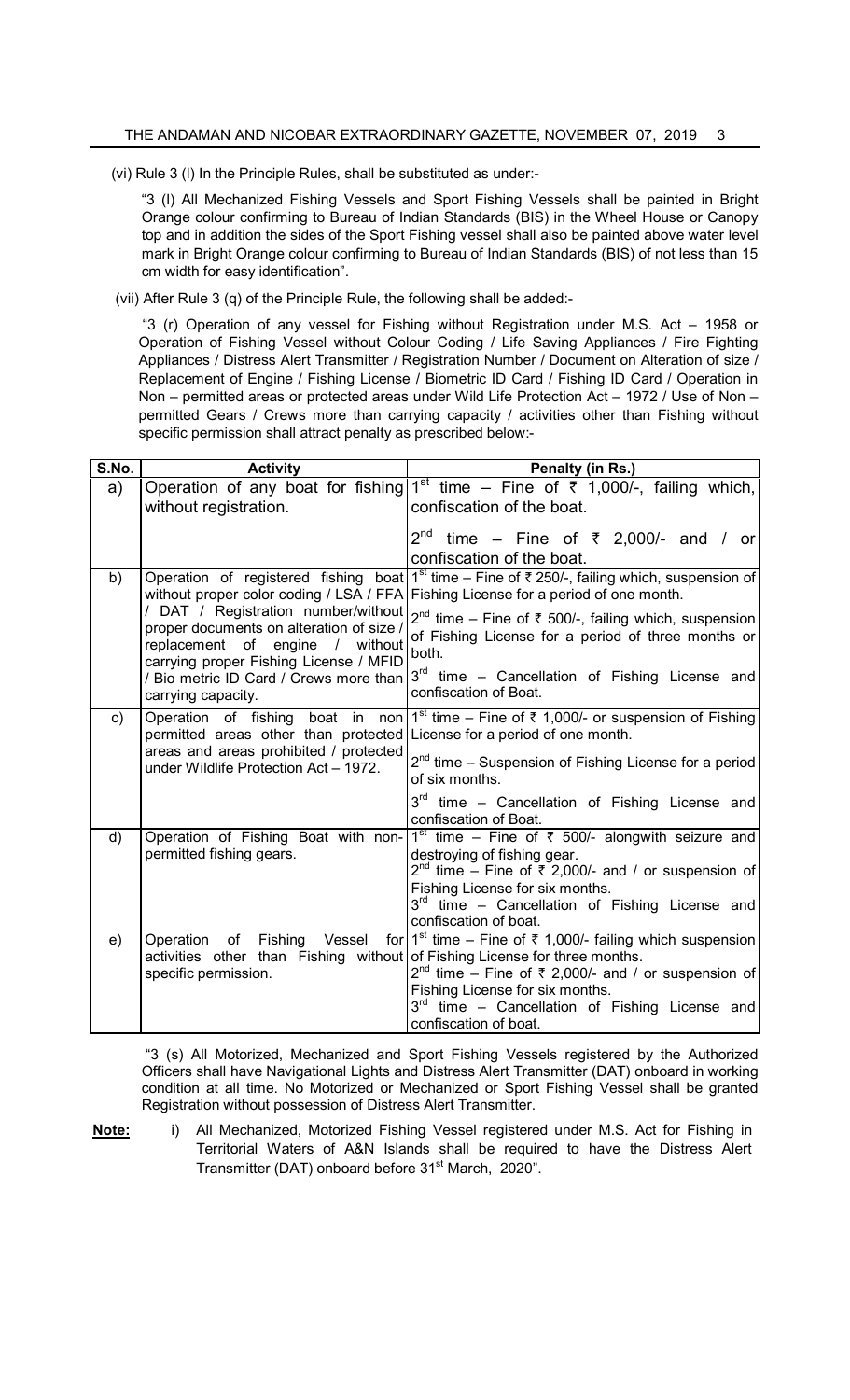(vi) Rule 3 (l) In the Principle Rules, shall be substituted as under:-

"3 (l) All Mechanized Fishing Vessels and Sport Fishing Vessels shall be painted in Bright Orange colour confirming to Bureau of Indian Standards (BIS) in the Wheel House or Canopy top and in addition the sides of the Sport Fishing vessel shall also be painted above water level mark in Bright Orange colour confirming to Bureau of Indian Standards (BIS) of not less than 15 cm width for easy identification".

(vii) After Rule 3 (q) of the Principle Rule, the following shall be added:-

 "3 (r) Operation of any vessel for Fishing without Registration under M.S. Act – 1958 or Operation of Fishing Vessel without Colour Coding / Life Saving Appliances / Fire Fighting Appliances / Distress Alert Transmitter / Registration Number / Document on Alteration of size / Replacement of Engine / Fishing License / Biometric ID Card / Fishing ID Card / Operation in Non – permitted areas or protected areas under Wild Life Protection Act – 1972 / Use of Non – permitted Gears / Crews more than carrying capacity / activities other than Fishing without specific permission shall attract penalty as prescribed below:-

| $\overline{\mathsf{S}}$ . No. | <b>Activity</b>                                                                                                                                                             | Penalty (in Rs.)                                                                                                                                                                                    |
|-------------------------------|-----------------------------------------------------------------------------------------------------------------------------------------------------------------------------|-----------------------------------------------------------------------------------------------------------------------------------------------------------------------------------------------------|
| a)                            |                                                                                                                                                                             | Operation of any boat for fishing $1^{st}$ time – Fine of $\bar{\tau}$ 1,000/-, failing which,                                                                                                      |
|                               | without registration.                                                                                                                                                       | confiscation of the boat.                                                                                                                                                                           |
|                               |                                                                                                                                                                             | $2^{nd}$<br>time - Fine of $\overline{\zeta}$ 2,000/- and / or                                                                                                                                      |
|                               |                                                                                                                                                                             | confiscation of the boat.                                                                                                                                                                           |
| b)                            |                                                                                                                                                                             | Operation of registered fishing boat $1^{st}$ time – Fine of $\bar{\tau}$ 250/-, failing which, suspension of<br>without proper color coding / LSA / FFA Fishing License for a period of one month. |
|                               | / DAT / Registration number/without<br>proper documents on alteration of size /<br>replacement of engine<br>$\sqrt{2}$<br>without<br>carrying proper Fishing License / MFID | $2^{nd}$ time – Fine of ₹ 500/-, failing which, suspension<br>of Fishing License for a period of three months or<br>both.                                                                           |
|                               | / Bio metric ID Card / Crews more than<br>carrying capacity.                                                                                                                | 3 <sup>rd</sup> time - Cancellation of Fishing License and<br>confiscation of Boat.                                                                                                                 |
| C)                            | Operation of fishing boat in non<br>permitted areas other than protected                                                                                                    | $1st$ time – Fine of $\overline{\zeta}$ 1,000/- or suspension of Fishing<br>License for a period of one month.                                                                                      |
|                               | areas and areas prohibited / protected<br>under Wildlife Protection Act - 1972.                                                                                             | $2^{nd}$ time – Suspension of Fishing License for a period<br>of six months.                                                                                                                        |
|                               |                                                                                                                                                                             | 3 <sup>rd</sup> time – Cancellation of Fishing License and<br>confiscation of Boat.                                                                                                                 |
| d)                            | Operation of Fishing Boat with non-                                                                                                                                         | $1st$ time – Fine of $\overline{5}$ 500/- alongwith seizure and                                                                                                                                     |
|                               | permitted fishing gears.                                                                                                                                                    | destroying of fishing gear.<br>$2^{nd}$ time – Fine of $\overline{\zeta}$ 2,000/- and / or suspension of                                                                                            |
|                               |                                                                                                                                                                             | Fishing License for six months.                                                                                                                                                                     |
|                               |                                                                                                                                                                             | 3 <sup>rd</sup> time - Cancellation of Fishing License and                                                                                                                                          |
|                               |                                                                                                                                                                             | confiscation of boat.                                                                                                                                                                               |
| e)                            | Operation of Fishing<br>Vessel                                                                                                                                              | for $1^{st}$ time – Fine of ₹ 1,000/- failing which suspension                                                                                                                                      |
|                               | activities other than Fishing without of Fishing License for three months.<br>specific permission.                                                                          | $2^{nd}$ time – Fine of ₹ 2,000/- and / or suspension of                                                                                                                                            |
|                               |                                                                                                                                                                             | Fishing License for six months.                                                                                                                                                                     |
|                               |                                                                                                                                                                             | 3 <sup>rd</sup> time – Cancellation of Fishing License and                                                                                                                                          |
|                               |                                                                                                                                                                             | confiscation of boat.                                                                                                                                                                               |

 "3 (s) All Motorized, Mechanized and Sport Fishing Vessels registered by the Authorized Officers shall have Navigational Lights and Distress Alert Transmitter (DAT) onboard in working condition at all time. No Motorized or Mechanized or Sport Fishing Vessel shall be granted Registration without possession of Distress Alert Transmitter.

**Note:** i) All Mechanized, Motorized Fishing Vessel registered under M.S. Act for Fishing in Territorial Waters of A&N Islands shall be required to have the Distress Alert Transmitter (DAT) onboard before 31<sup>st</sup> March, 2020".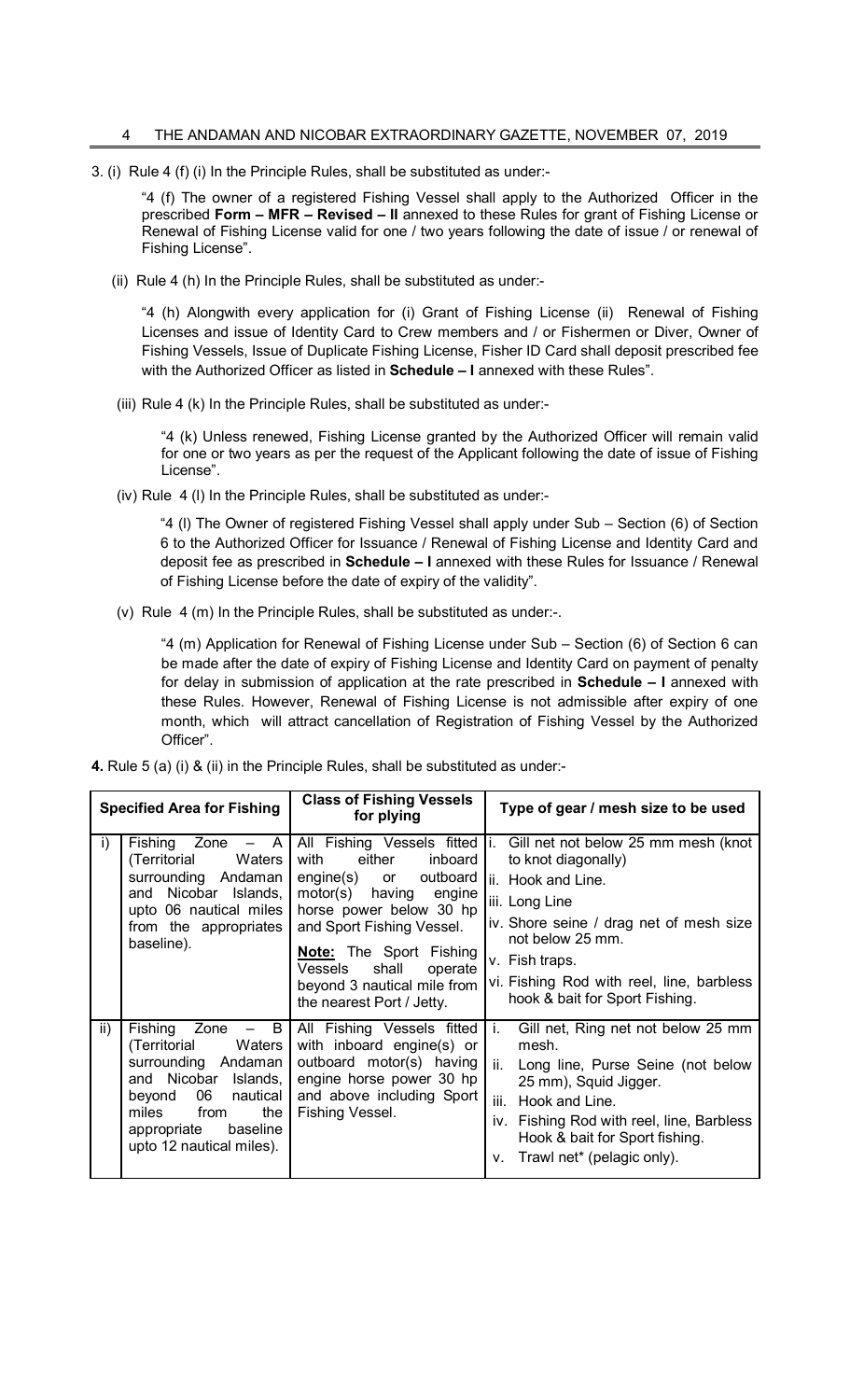3. (i) Rule 4 (f) (i) In the Principle Rules, shall be substituted as under:-

"4 (f) The owner of a registered Fishing Vessel shall apply to the Authorized Officer in the prescribed **Form – MFR – Revised – II** annexed to these Rules for grant of Fishing License or Renewal of Fishing License valid for one / two years following the date of issue / or renewal of Fishing License".

(ii) Rule 4 (h) In the Principle Rules, shall be substituted as under:-

"4 (h) Alongwith every application for (i) Grant of Fishing License (ii) Renewal of Fishing Licenses and issue of Identity Card to Crew members and / or Fishermen or Diver, Owner of Fishing Vessels, Issue of Duplicate Fishing License, Fisher ID Card shall deposit prescribed fee with the Authorized Officer as listed in **Schedule – I** annexed with these Rules".

(iii) Rule 4 (k) In the Principle Rules, shall be substituted as under:-

"4 (k) Unless renewed, Fishing License granted by the Authorized Officer will remain valid for one or two years as per the request of the Applicant following the date of issue of Fishing License".

(iv) Rule 4 (l) In the Principle Rules, shall be substituted as under:-

"4 (l) The Owner of registered Fishing Vessel shall apply under Sub – Section (6) of Section 6 to the Authorized Officer for Issuance / Renewal of Fishing License and Identity Card and deposit fee as prescribed in **Schedule – I** annexed with these Rules for Issuance / Renewal of Fishing License before the date of expiry of the validity".

(v) Rule 4 (m) In the Principle Rules, shall be substituted as under:-.

"4 (m) Application for Renewal of Fishing License under Sub – Section (6) of Section 6 can be made after the date of expiry of Fishing License and Identity Card on payment of penalty for delay in submission of application at the rate prescribed in **Schedule – I** annexed with these Rules. However, Renewal of Fishing License is not admissible after expiry of one month, which will attract cancellation of Registration of Fishing Vessel by the Authorized Officer".

**4.** Rule 5 (a) (i) & (ii) in the Principle Rules, shall be substituted as under:-

|              | <b>Specified Area for Fishing</b>                                                                                                                                                                                          | <b>Class of Fishing Vessels</b><br>for plying                                                                                                                                                                                                                                                         | Type of gear / mesh size to be used                                                                                                                                                                                                                                    |  |  |  |
|--------------|----------------------------------------------------------------------------------------------------------------------------------------------------------------------------------------------------------------------------|-------------------------------------------------------------------------------------------------------------------------------------------------------------------------------------------------------------------------------------------------------------------------------------------------------|------------------------------------------------------------------------------------------------------------------------------------------------------------------------------------------------------------------------------------------------------------------------|--|--|--|
| $\mathbf{i}$ | Zone $-$ A<br>Fishing<br>Waters<br>(Territorial<br>surrounding Andaman<br>Nicobar Islands,<br>and<br>upto 06 nautical miles<br>from the appropriates<br>baseline).                                                         | All Fishing Vessels fitted<br>either<br>with<br>inboard<br>outboard<br>engine(s)<br>or<br>motor(s) having engine<br>horse power below 30 hp<br>and Sport Fishing Vessel.<br><b>Note:</b> The Sport Fishing<br>shall<br>Vessels<br>operate<br>beyond 3 nautical mile from<br>the nearest Port / Jetty. | Gill net not below 25 mm mesh (knot<br>to knot diagonally)<br>ii. Hook and Line.<br>iii. Long Line<br>iv. Shore seine / drag net of mesh size<br>not below 25 mm.<br>v. Fish traps.<br>vi. Fishing Rod with reel, line, barbless<br>hook & bait for Sport Fishing.     |  |  |  |
| ii)          | $\mathsf{Zone}$ $-$ B<br>Fishing<br>Waters<br>(Territorial<br>surrounding Andaman<br>Nicobar<br>Islands,<br>and<br>06<br>nautical<br>beyond<br>miles<br>from<br>the<br>baseline<br>appropriate<br>upto 12 nautical miles). | All Fishing Vessels fitted<br>with inboard engine(s) or<br>outboard motor(s) having<br>engine horse power 30 hp<br>and above including Sport<br>Fishing Vessel.                                                                                                                                       | i.<br>Gill net, Ring net not below 25 mm<br>mesh.<br>ii.<br>Long line, Purse Seine (not below<br>25 mm), Squid Jigger.<br>Hook and Line.<br>iii.<br>Fishing Rod with reel, line, Barbless<br>iv.<br>Hook & bait for Sport fishing.<br>Trawl net* (pelagic only).<br>v. |  |  |  |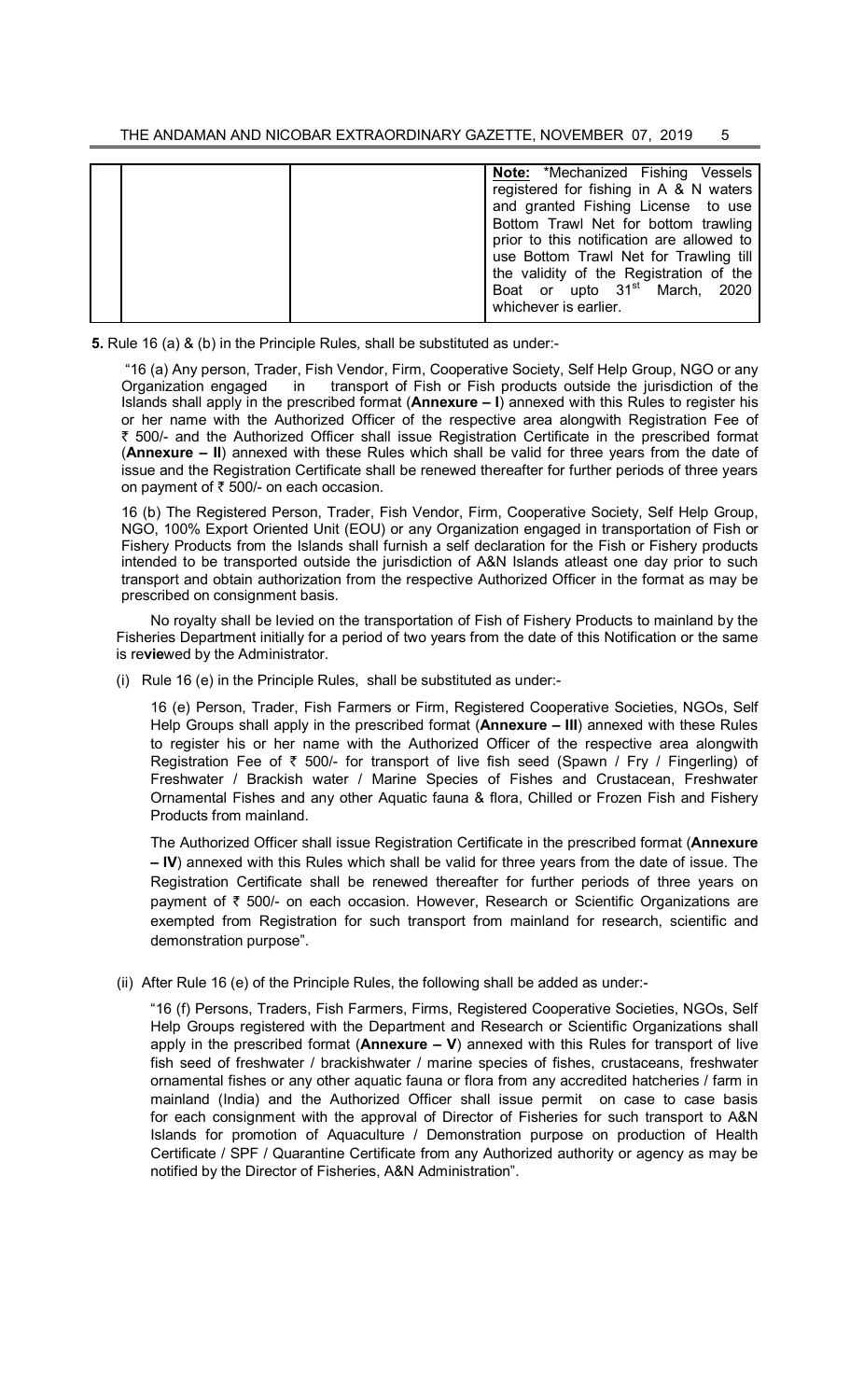| Note: *Mechanized Fishing Vessels<br>registered for fishing in A & N waters<br>and granted Fishing License to use<br>Bottom Trawl Net for bottom trawling<br>prior to this notification are allowed to<br>use Bottom Trawl Net for Trawling till<br>the validity of the Registration of the<br>Boat or upto 31 <sup>st</sup> March, 2020 |
|------------------------------------------------------------------------------------------------------------------------------------------------------------------------------------------------------------------------------------------------------------------------------------------------------------------------------------------|
| whichever is earlier.                                                                                                                                                                                                                                                                                                                    |

**5.** Rule 16 (a) & (b) in the Principle Rules*,* shall be substituted as under:-

 "16 (a) Any person, Trader, Fish Vendor, Firm, Cooperative Society, Self Help Group, NGO or any Organization engaged in transport of Fish or Fish products outside the jurisdiction of the Islands shall apply in the prescribed format (**Annexure – I**) annexed with this Rules to register his or her name with the Authorized Officer of the respective area alongwith Registration Fee of ` 500/- and the Authorized Officer shall issue Registration Certificate in the prescribed format (**Annexure – II**) annexed with these Rules which shall be valid for three years from the date of issue and the Registration Certificate shall be renewed thereafter for further periods of three years on payment of  $\bar{t}$  500/- on each occasion.

16 (b) The Registered Person, Trader, Fish Vendor, Firm, Cooperative Society, Self Help Group, NGO, 100% Export Oriented Unit (EOU) or any Organization engaged in transportation of Fish or Fishery Products from the Islands shall furnish a self declaration for the Fish or Fishery products intended to be transported outside the jurisdiction of A&N Islands atleast one day prior to such transport and obtain authorization from the respective Authorized Officer in the format as may be prescribed on consignment basis.

No royalty shall be levied on the transportation of Fish of Fishery Products to mainland by the Fisheries Department initially for a period of two years from the date of this Notification or the same is re**vie**wed by the Administrator.

(i) Rule 16 (e) in the Principle Rules, shall be substituted as under:-

16 (e) Person, Trader, Fish Farmers or Firm, Registered Cooperative Societies, NGOs, Self Help Groups shall apply in the prescribed format (**Annexure – III**) annexed with these Rules to register his or her name with the Authorized Officer of the respective area alongwith Registration Fee of  $\bar{\tau}$  500/- for transport of live fish seed (Spawn / Fry / Fingerling) of Freshwater / Brackish water / Marine Species of Fishes and Crustacean, Freshwater Ornamental Fishes and any other Aquatic fauna & flora, Chilled or Frozen Fish and Fishery Products from mainland.

The Authorized Officer shall issue Registration Certificate in the prescribed format (**Annexure – IV**) annexed with this Rules which shall be valid for three years from the date of issue. The Registration Certificate shall be renewed thereafter for further periods of three years on payment of ₹ 500/- on each occasion. However, Research or Scientific Organizations are exempted from Registration for such transport from mainland for research, scientific and demonstration purpose".

(ii) After Rule 16 (e) of the Principle Rules, the following shall be added as under:-

"16 (f) Persons, Traders, Fish Farmers, Firms, Registered Cooperative Societies, NGOs, Self Help Groups registered with the Department and Research or Scientific Organizations shall apply in the prescribed format (**Annexure – V**) annexed with this Rules for transport of live fish seed of freshwater / brackishwater / marine species of fishes, crustaceans, freshwater ornamental fishes or any other aquatic fauna or flora from any accredited hatcheries / farm in mainland (India) and the Authorized Officer shall issue permit on case to case basis for each consignment with the approval of Director of Fisheries for such transport to A&N Islands for promotion of Aquaculture / Demonstration purpose on production of Health Certificate / SPF / Quarantine Certificate from any Authorized authority or agency as may be notified by the Director of Fisheries, A&N Administration".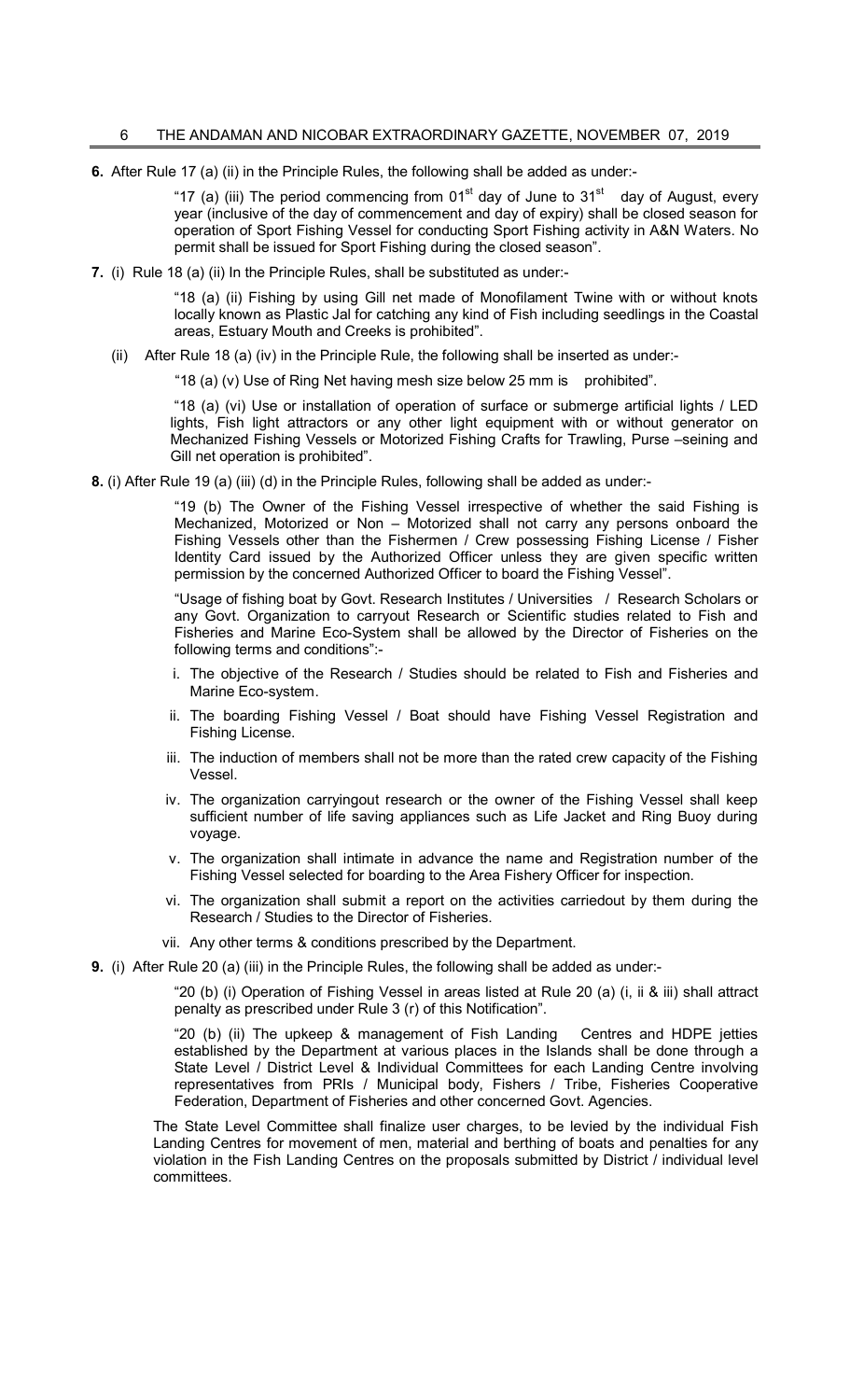**6.** After Rule 17 (a) (ii) in the Principle Rules, the following shall be added as under:-

"17 (a) (iii) The period commencing from 01<sup>st</sup> day of June to 31<sup>st</sup> day of August, every year (inclusive of the day of commencement and day of expiry) shall be closed season for operation of Sport Fishing Vessel for conducting Sport Fishing activity in A&N Waters. No permit shall be issued for Sport Fishing during the closed season".

**7.** (i) Rule 18 (a) (ii) In the Principle Rules, shall be substituted as under:-

"18 (a) (ii) Fishing by using Gill net made of Monofilament Twine with or without knots locally known as Plastic Jal for catching any kind of Fish including seedlings in the Coastal areas, Estuary Mouth and Creeks is prohibited".

(ii) After Rule 18 (a) (iv) in the Principle Rule, the following shall be inserted as under:-

"18 (a) (v) Use of Ring Net having mesh size below 25 mm is prohibited".

 "18 (a) (vi) Use or installation of operation of surface or submerge artificial lights / LED lights, Fish light attractors or any other light equipment with or without generator on Mechanized Fishing Vessels or Motorized Fishing Crafts for Trawling, Purse –seining and Gill net operation is prohibited".

**8.** (i) After Rule 19 (a) (iii) (d) in the Principle Rules, following shall be added as under:-

"19 (b) The Owner of the Fishing Vessel irrespective of whether the said Fishing is Mechanized, Motorized or Non – Motorized shall not carry any persons onboard the Fishing Vessels other than the Fishermen / Crew possessing Fishing License / Fisher Identity Card issued by the Authorized Officer unless they are given specific written permission by the concerned Authorized Officer to board the Fishing Vessel".

"Usage of fishing boat by Govt. Research Institutes / Universities / Research Scholars or any Govt. Organization to carryout Research or Scientific studies related to Fish and Fisheries and Marine Eco-System shall be allowed by the Director of Fisheries on the following terms and conditions":-

- i. The objective of the Research / Studies should be related to Fish and Fisheries and Marine Eco-system.
- ii. The boarding Fishing Vessel / Boat should have Fishing Vessel Registration and Fishing License.
- iii. The induction of members shall not be more than the rated crew capacity of the Fishing Vessel.
- iv. The organization carryingout research or the owner of the Fishing Vessel shall keep sufficient number of life saving appliances such as Life Jacket and Ring Buoy during voyage.
- v. The organization shall intimate in advance the name and Registration number of the Fishing Vessel selected for boarding to the Area Fishery Officer for inspection.
- vi. The organization shall submit a report on the activities carriedout by them during the Research / Studies to the Director of Fisheries.
- vii. Any other terms & conditions prescribed by the Department.
- **9.** (i) After Rule 20 (a) (iii) in the Principle Rules, the following shall be added as under:-

"20 (b) (i) Operation of Fishing Vessel in areas listed at Rule 20 (a) (i, ii & iii) shall attract penalty as prescribed under Rule 3 (r) of this Notification".

"20 (b) (ii) The upkeep & management of Fish Landing Centres and HDPE jetties established by the Department at various places in the Islands shall be done through a State Level / District Level & Individual Committees for each Landing Centre involving representatives from PRIs / Municipal body, Fishers / Tribe, Fisheries Cooperative Federation, Department of Fisheries and other concerned Govt. Agencies.

The State Level Committee shall finalize user charges, to be levied by the individual Fish Landing Centres for movement of men, material and berthing of boats and penalties for any violation in the Fish Landing Centres on the proposals submitted by District / individual level committees.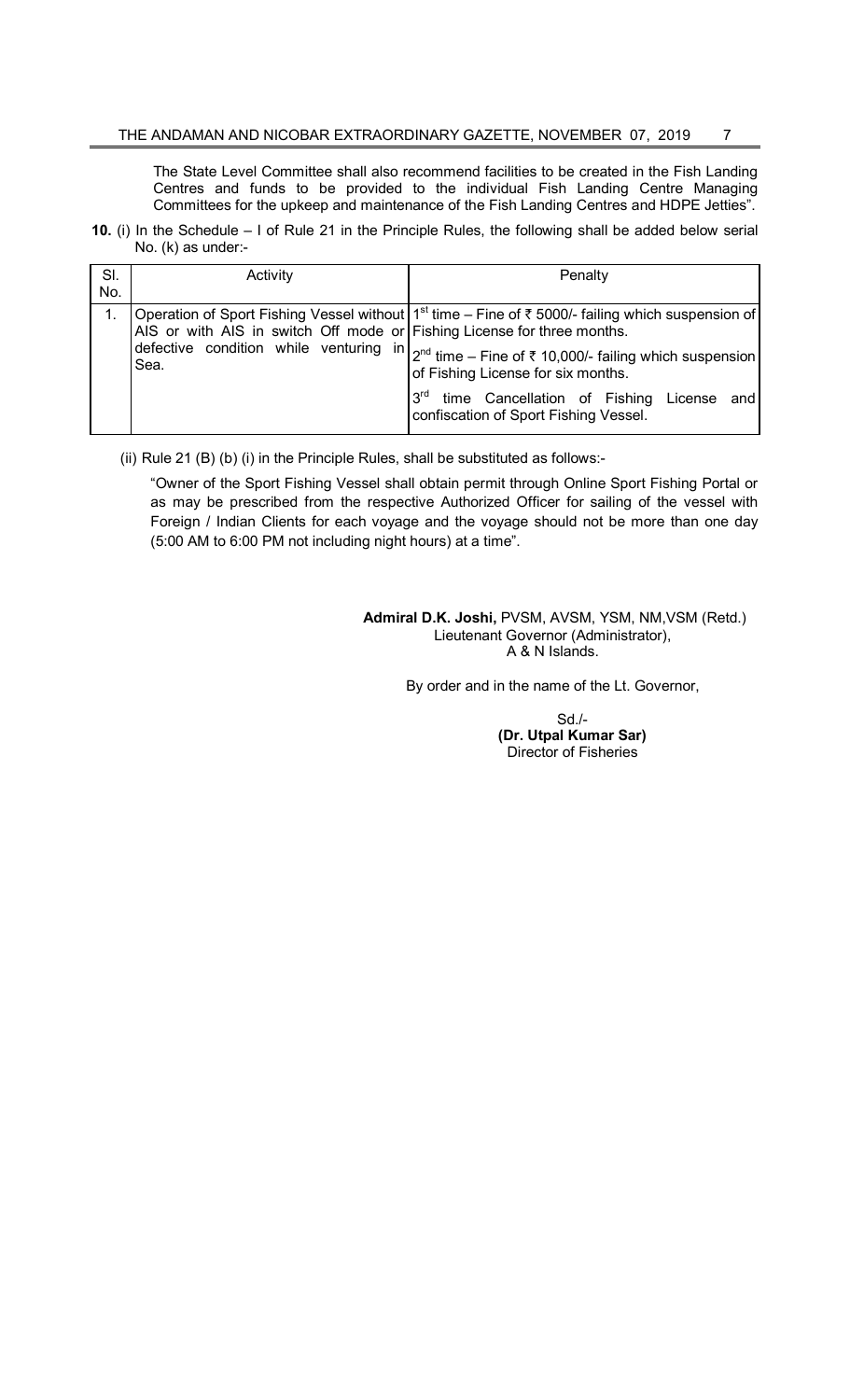The State Level Committee shall also recommend facilities to be created in the Fish Landing Centres and funds to be provided to the individual Fish Landing Centre Managing Committees for the upkeep and maintenance of the Fish Landing Centres and HDPE Jetties".

**10.** (i) In the Schedule – I of Rule 21 in the Principle Rules, the following shall be added below serial No. (k) as under:-

| SI. | Activity                                                                |                                                                                                                                                                                                                                                                                                                                                                          |  |  |  |  |
|-----|-------------------------------------------------------------------------|--------------------------------------------------------------------------------------------------------------------------------------------------------------------------------------------------------------------------------------------------------------------------------------------------------------------------------------------------------------------------|--|--|--|--|
| No. | Penalty                                                                 |                                                                                                                                                                                                                                                                                                                                                                          |  |  |  |  |
|     | AIS or with AIS in switch Off mode or Fishing License for three months. | Operation of Sport Fishing Vessel without   1 <sup>st</sup> time – Fine of ₹ 5000/- failing which suspension of<br>defective condition while venturing $\ln  z^{nd}$ time – Fine of ₹ 10,000/- failing which suspension<br>of Fishing License for six months.<br>3 <sup>rd</sup><br>time Cancellation of Fishing<br>License and<br>confiscation of Sport Fishing Vessel. |  |  |  |  |

(ii) Rule 21 (B) (b) (i) in the Principle Rules, shall be substituted as follows:-

"Owner of the Sport Fishing Vessel shall obtain permit through Online Sport Fishing Portal or as may be prescribed from the respective Authorized Officer for sailing of the vessel with Foreign / Indian Clients for each voyage and the voyage should not be more than one day (5:00 AM to 6:00 PM not including night hours) at a time".

> **Admiral D.K. Joshi,** PVSM, AVSM, YSM, NM,VSM (Retd.) Lieutenant Governor (Administrator), A & N Islands.

> > By order and in the name of the Lt. Governor,

Sd./- **(Dr. Utpal Kumar Sar)** Director of Fisheries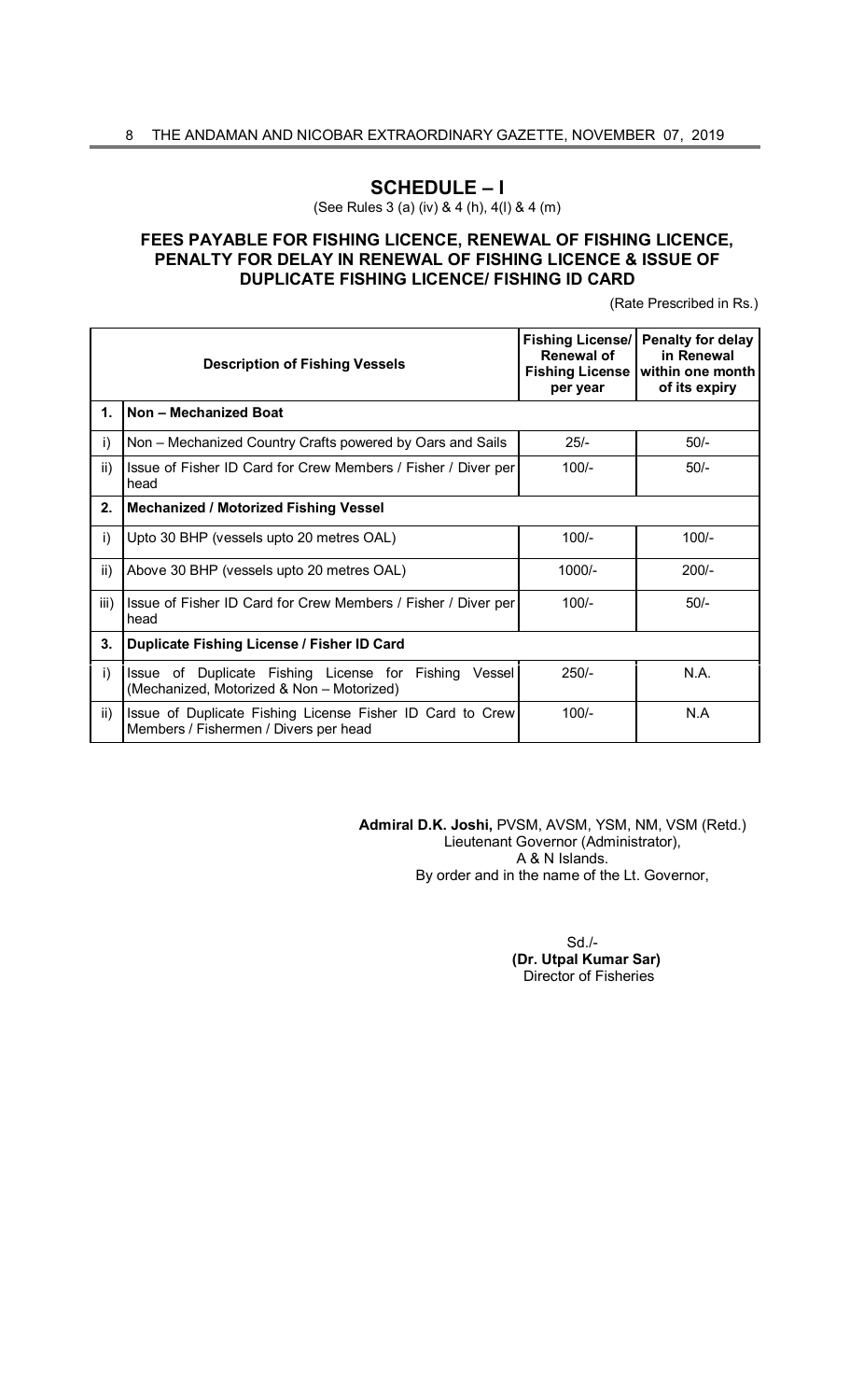## **SCHEDULE – I**

(See Rules 3 (a) (iv) & 4 (h), 4(l) & 4 (m)

### **FEES PAYABLE FOR FISHING LICENCE, RENEWAL OF FISHING LICENCE, PENALTY FOR DELAY IN RENEWAL OF FISHING LICENCE & ISSUE OF DUPLICATE FISHING LICENCE/ FISHING ID CARD**

(Rate Prescribed in Rs.)

|      | <b>Description of Fishing Vessels</b>                                                                 | <b>Fishing License/</b><br><b>Renewal of</b><br><b>Fishing License</b><br>per year | Penalty for delay<br>in Renewal<br>within one month<br>of its expiry |
|------|-------------------------------------------------------------------------------------------------------|------------------------------------------------------------------------------------|----------------------------------------------------------------------|
| 1.   | Non - Mechanized Boat                                                                                 |                                                                                    |                                                                      |
| i)   | Non – Mechanized Country Crafts powered by Oars and Sails                                             | $25/-$                                                                             | $50/-$                                                               |
| ii)  | Issue of Fisher ID Card for Crew Members / Fisher / Diver per<br>head                                 | $100/-$                                                                            | $50/-$                                                               |
| 2.   | <b>Mechanized / Motorized Fishing Vessel</b>                                                          |                                                                                    |                                                                      |
| i)   | Upto 30 BHP (vessels upto 20 metres OAL)                                                              | $100/-$                                                                            | $100/-$                                                              |
| ii)  | Above 30 BHP (vessels upto 20 metres OAL)                                                             | 1000/-                                                                             | $200/-$                                                              |
| iii) | Issue of Fisher ID Card for Crew Members / Fisher / Diver per<br>head                                 | $100/-$                                                                            | $50/-$                                                               |
| 3.   | Duplicate Fishing License / Fisher ID Card                                                            |                                                                                    |                                                                      |
| i)   | Issue of Duplicate Fishing License for Fishing<br>Vessel<br>(Mechanized, Motorized & Non - Motorized) | $250/-$                                                                            | N.A.                                                                 |
| ii)  | Issue of Duplicate Fishing License Fisher ID Card to Crew<br>Members / Fishermen / Divers per head    | $100/-$                                                                            | N.A                                                                  |

**Admiral D.K. Joshi,** PVSM, AVSM, YSM, NM, VSM (Retd.) Lieutenant Governor (Administrator), A & N Islands. By order and in the name of the Lt. Governor,

 $S$ d./- $S$ d./- $S$ d./- $S$ d./- $S$ d./- $S$ d./- $S$ d./- $S$ d./- $S$ d./- $S$ d./- $S$ d./- $S$ d./- $S$ d./- $S$ d./- $S$ d./- $S$ d./- $S$ d./- $S$ d./- $S$ d./- $S$ d./- $S$ d./- $S$ d./- $S$ d./- $S$ d./- $S$ d./- $S$ d./- $S$ d./- $S$ d./- $S$ d./- $S$ d./- $S$ d./- $S$ d **(Dr. Utpal Kumar Sar)** Director of Fisheries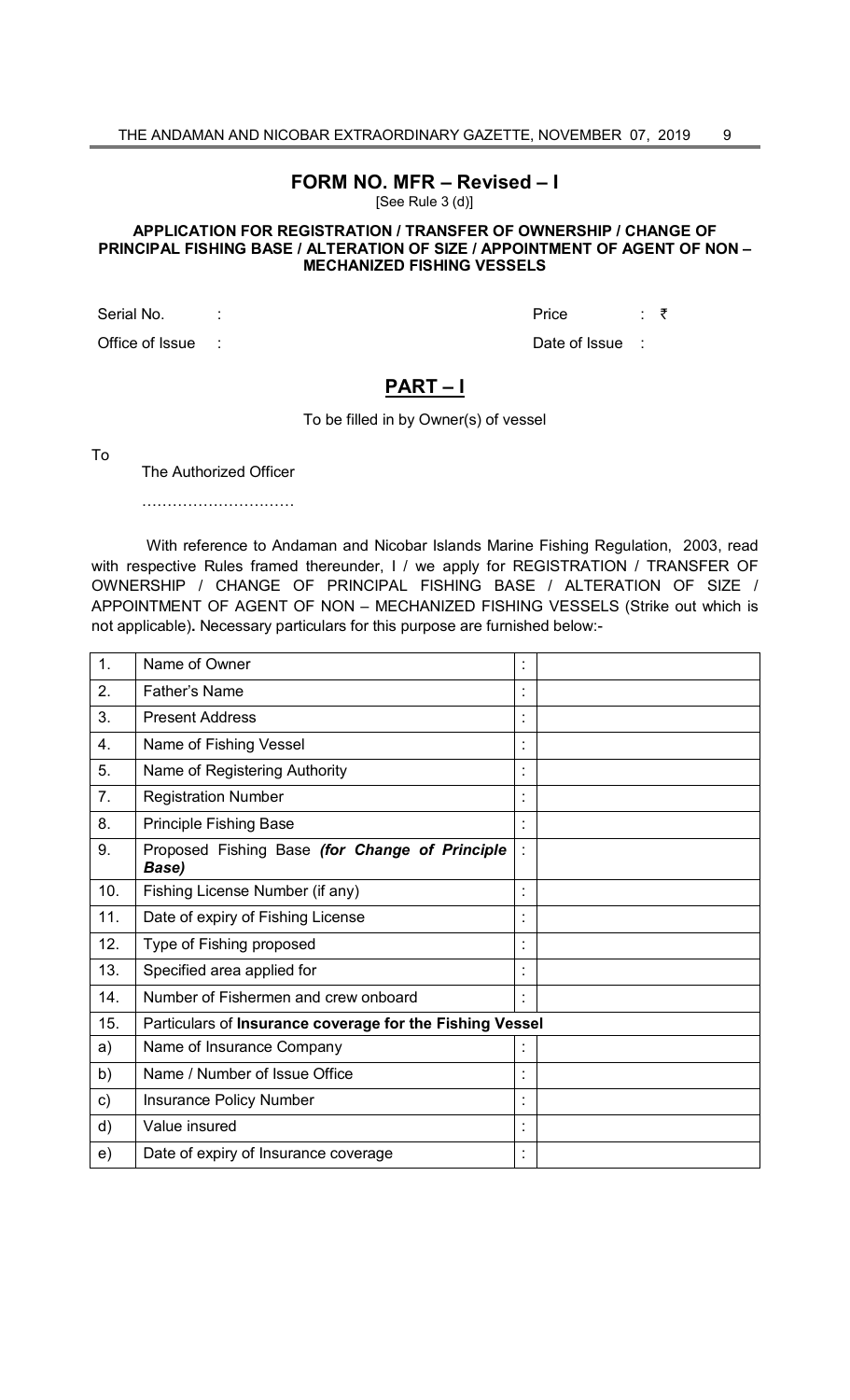### **FORM NO. MFR – Revised – I**

[See Rule 3 (d)]

### **APPLICATION FOR REGISTRATION / TRANSFER OF OWNERSHIP / CHANGE OF PRINCIPAL FISHING BASE / ALTERATION OF SIZE / APPOINTMENT OF AGENT OF NON – MECHANIZED FISHING VESSELS**

Office of Issue : **Date of Issue :** Date of Issue :

Serial No. : : : : : : : : : : : : : : : / Price : : : ₹

## **PART – I**

To be filled in by Owner(s) of vessel

To

The Authorized Officer

………………………………………

 With reference to Andaman and Nicobar Islands Marine Fishing Regulation, 2003, read with respective Rules framed thereunder, I / we apply for REGISTRATION / TRANSFER OF OWNERSHIP / CHANGE OF PRINCIPAL FISHING BASE / ALTERATION OF SIZE / APPOINTMENT OF AGENT OF NON – MECHANIZED FISHING VESSELS (Strike out which is not applicable)**.** Necessary particulars for this purpose are furnished below:-

| 1.  | Name of Owner                                            | $\blacksquare$<br>à, |  |
|-----|----------------------------------------------------------|----------------------|--|
| 2.  | Father's Name                                            | ٠                    |  |
| 3.  | <b>Present Address</b>                                   | ٠                    |  |
| 4.  | Name of Fishing Vessel                                   |                      |  |
| 5.  | Name of Registering Authority                            | ٠                    |  |
| 7.  | <b>Registration Number</b>                               | $\blacksquare$       |  |
| 8.  | <b>Principle Fishing Base</b>                            | $\blacksquare$       |  |
| 9.  | Proposed Fishing Base (for Change of Principle<br>Base)  |                      |  |
| 10. | Fishing License Number (if any)                          | $\blacksquare$       |  |
| 11. | Date of expiry of Fishing License                        | $\blacksquare$       |  |
| 12. | Type of Fishing proposed                                 | ٠                    |  |
| 13. | Specified area applied for                               | ٠                    |  |
| 14. | Number of Fishermen and crew onboard                     | $\ddot{\phantom{a}}$ |  |
| 15. | Particulars of Insurance coverage for the Fishing Vessel |                      |  |
| a)  | Name of Insurance Company                                |                      |  |
| b)  | Name / Number of Issue Office                            | ٠                    |  |
| c)  | <b>Insurance Policy Number</b>                           | $\blacksquare$       |  |
| d)  | Value insured                                            | $\blacksquare$       |  |
| e)  | Date of expiry of Insurance coverage                     | ٠                    |  |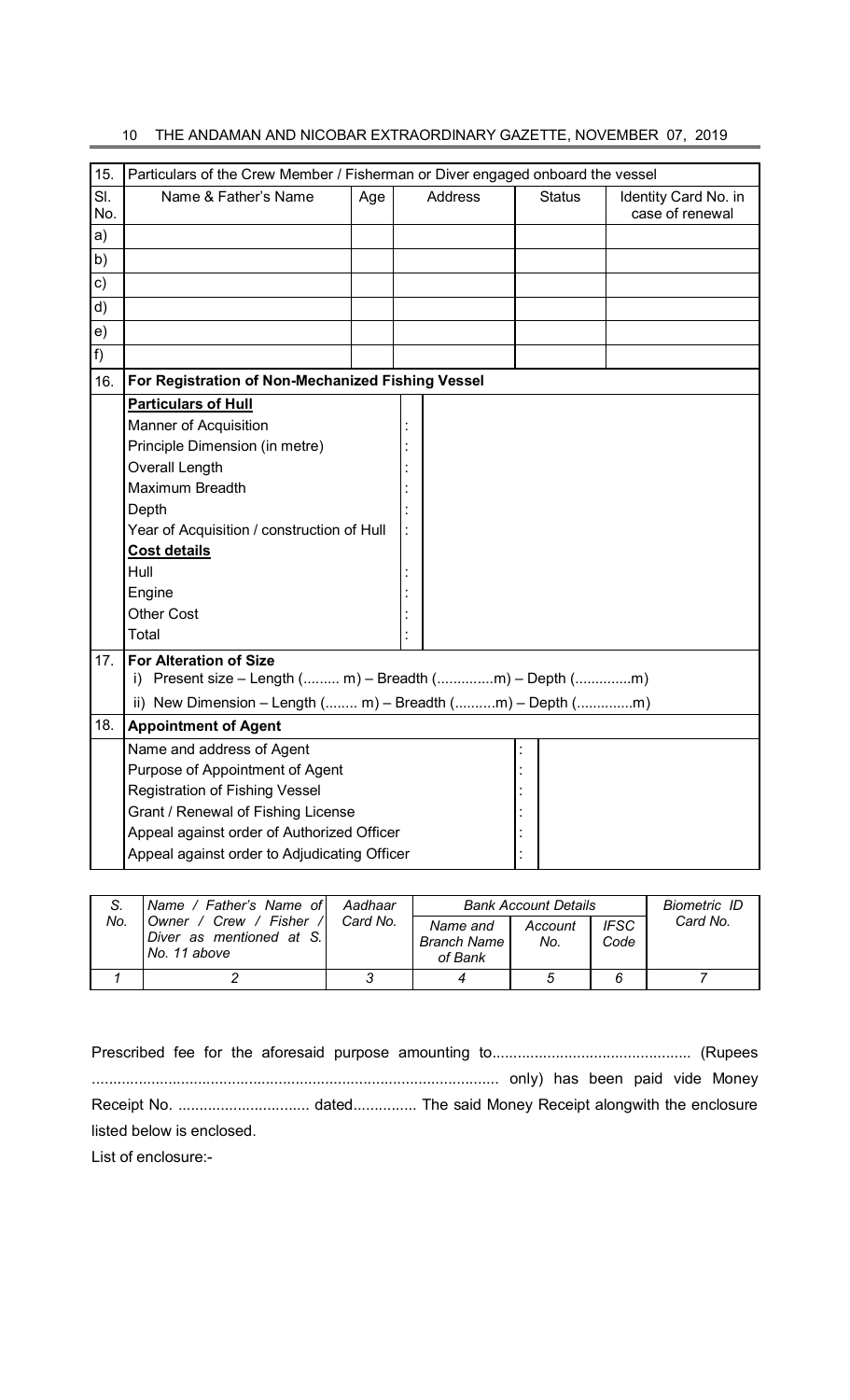# 10 THE ANDAMAN AND NICOBAR EXTRAORDINARY GAZETTE, NOVEMBER 07, 2019

| 15.        | Particulars of the Crew Member / Fisherman or Diver engaged onboard the vessel                     |     |                |  |               |                                         |  |  |  |
|------------|----------------------------------------------------------------------------------------------------|-----|----------------|--|---------------|-----------------------------------------|--|--|--|
| SI.<br>No. | Name & Father's Name                                                                               | Age | <b>Address</b> |  | <b>Status</b> | Identity Card No. in<br>case of renewal |  |  |  |
| a)         |                                                                                                    |     |                |  |               |                                         |  |  |  |
| b)         |                                                                                                    |     |                |  |               |                                         |  |  |  |
| c)         |                                                                                                    |     |                |  |               |                                         |  |  |  |
| d)         |                                                                                                    |     |                |  |               |                                         |  |  |  |
| e)         |                                                                                                    |     |                |  |               |                                         |  |  |  |
| $f$ )      |                                                                                                    |     |                |  |               |                                         |  |  |  |
| 16.        | For Registration of Non-Mechanized Fishing Vessel                                                  |     |                |  |               |                                         |  |  |  |
|            | <b>Particulars of Hull</b>                                                                         |     |                |  |               |                                         |  |  |  |
|            | Manner of Acquisition                                                                              |     |                |  |               |                                         |  |  |  |
|            | Principle Dimension (in metre)                                                                     |     |                |  |               |                                         |  |  |  |
|            | <b>Overall Length</b>                                                                              |     |                |  |               |                                         |  |  |  |
|            | Maximum Breadth                                                                                    |     |                |  |               |                                         |  |  |  |
|            | Depth                                                                                              |     |                |  |               |                                         |  |  |  |
|            | Year of Acquisition / construction of Hull                                                         |     |                |  |               |                                         |  |  |  |
|            | <b>Cost details</b>                                                                                |     |                |  |               |                                         |  |  |  |
|            | Hull                                                                                               |     |                |  |               |                                         |  |  |  |
|            | Engine                                                                                             |     |                |  |               |                                         |  |  |  |
|            | <b>Other Cost</b>                                                                                  |     |                |  |               |                                         |  |  |  |
|            | Total                                                                                              |     |                |  |               |                                         |  |  |  |
| 17.        | <b>For Alteration of Size</b>                                                                      |     |                |  |               |                                         |  |  |  |
|            | i) Present size - Length $(1, 1, 1, 1)$ - Breadth $(2, 1, 1, 1, 1)$ - Depth $(3, 1, 1, 1, 1, 1)$   |     |                |  |               |                                         |  |  |  |
|            | ii) New Dimension - Length $(1, 1, 1, 1)$ - Breadth $(1, 1, 1, 1, 1)$ - Depth $(1, 1, 1, 1, 1, 1)$ |     |                |  |               |                                         |  |  |  |
| 18.        | <b>Appointment of Agent</b>                                                                        |     |                |  |               |                                         |  |  |  |
|            | Name and address of Agent                                                                          |     |                |  |               |                                         |  |  |  |
|            | Purpose of Appointment of Agent                                                                    |     |                |  |               |                                         |  |  |  |
|            | <b>Registration of Fishing Vessel</b>                                                              |     |                |  |               |                                         |  |  |  |
|            | Grant / Renewal of Fishing License                                                                 |     |                |  |               |                                         |  |  |  |
|            | Appeal against order of Authorized Officer                                                         |     |                |  |               |                                         |  |  |  |
|            | Appeal against order to Adjudicating Officer                                                       |     |                |  |               |                                         |  |  |  |

|     | Name / Father's Name of                                              | Aadhaar  | <b>Bank Account Details</b>        | Biometric ID   |                     |          |
|-----|----------------------------------------------------------------------|----------|------------------------------------|----------------|---------------------|----------|
| No. | Owner / Crew / Fisher /<br>Diver as mentioned at S.<br>INo. 11 above | Card No. | Name and<br>Branch Name<br>of Bank | Account<br>No. | <b>IFSC</b><br>Code | Card No. |
|     |                                                                      |          |                                    |                |                     |          |

| listed below is enclosed. |  |  |  |  |  |  |
|---------------------------|--|--|--|--|--|--|
| エリティー・ディー・エー・エー・エー        |  |  |  |  |  |  |

List of enclosure:-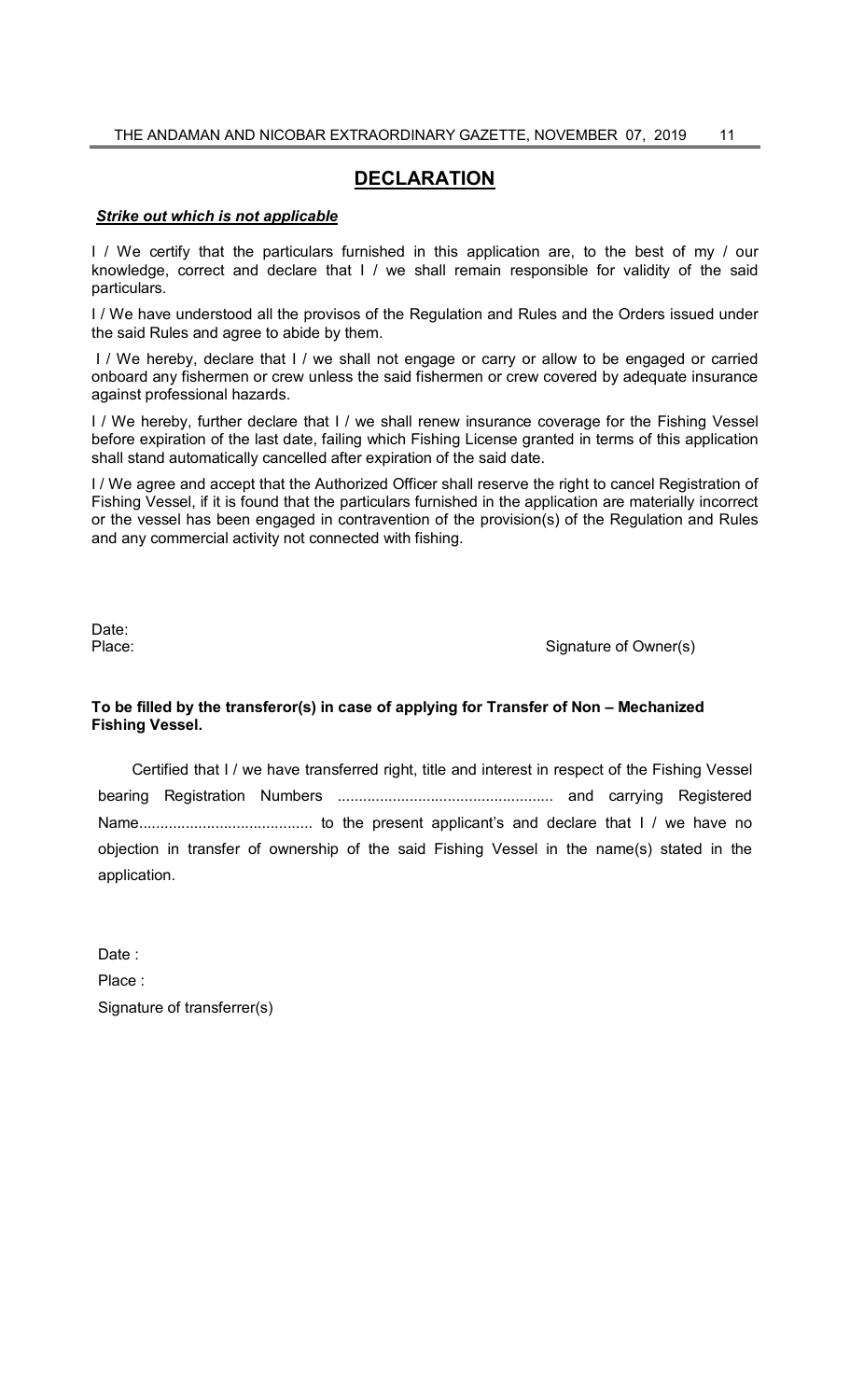## **DECLARATION**

### *Strike out which is not applicable*

I / We certify that the particulars furnished in this application are, to the best of my / our knowledge, correct and declare that I / we shall remain responsible for validity of the said particulars.

I / We have understood all the provisos of the Regulation and Rules and the Orders issued under the said Rules and agree to abide by them.

 I / We hereby, declare that I / we shall not engage or carry or allow to be engaged or carried onboard any fishermen or crew unless the said fishermen or crew covered by adequate insurance against professional hazards.

I / We hereby, further declare that I / we shall renew insurance coverage for the Fishing Vessel before expiration of the last date, failing which Fishing License granted in terms of this application shall stand automatically cancelled after expiration of the said date.

I / We agree and accept that the Authorized Officer shall reserve the right to cancel Registration of Fishing Vessel, if it is found that the particulars furnished in the application are materially incorrect or the vessel has been engaged in contravention of the provision(s) of the Regulation and Rules and any commercial activity not connected with fishing.

Date:<br>Place:

Signature of Owner(s)

### **To be filled by the transferor(s) in case of applying for Transfer of Non – Mechanized Fishing Vessel.**

 Certified that I / we have transferred right, title and interest in respect of the Fishing Vessel bearing Registration Numbers ................................................... and carrying Registered Name......................................... to the present applicant's and declare that I / we have no objection in transfer of ownership of the said Fishing Vessel in the name(s) stated in the application.

Date: Place : Signature of transferrer(s)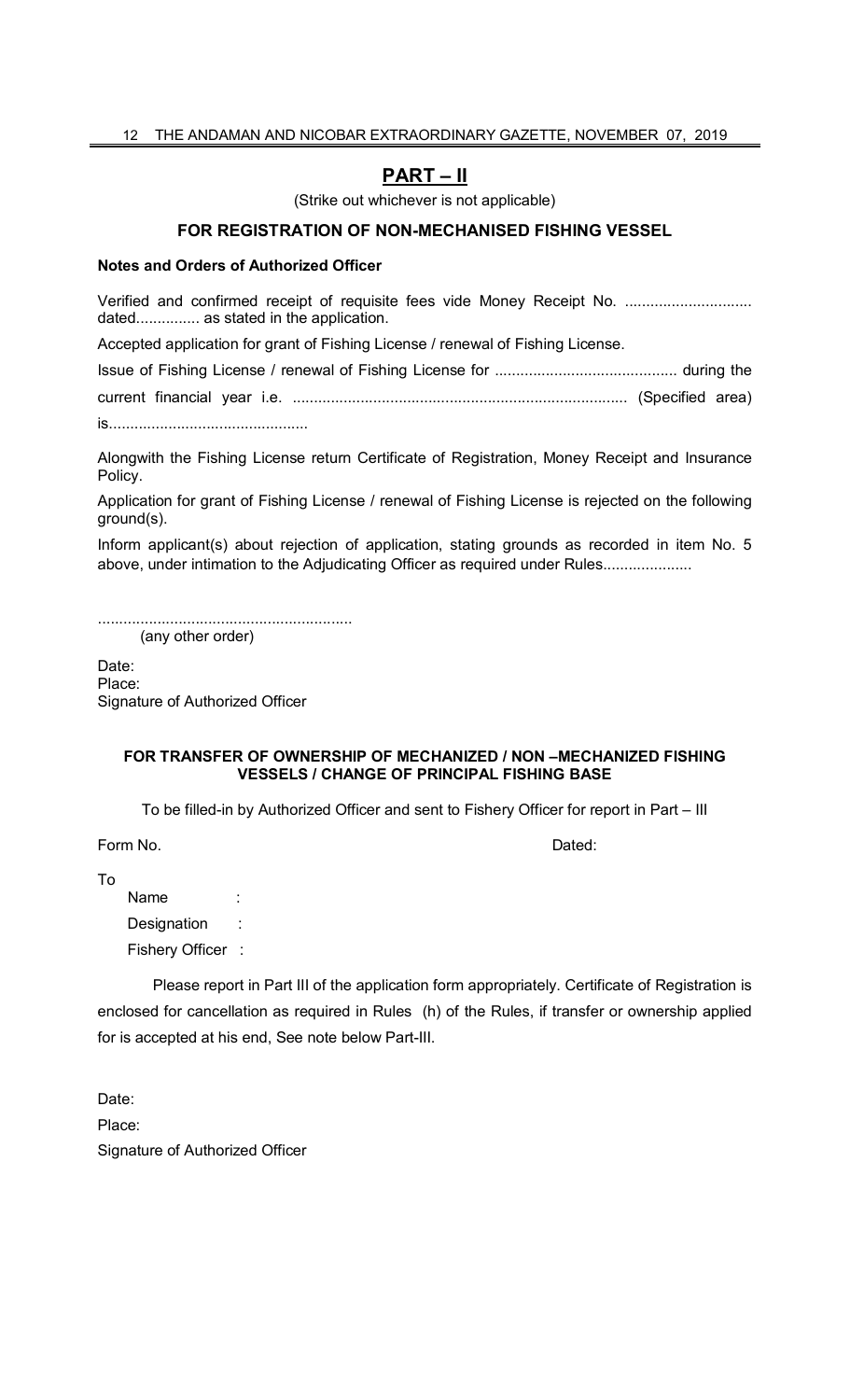### 12THE ANDAMAN AND NICOBAR EXTRAORDINARY GAZETTE, NOVEMBER 07, 2019

## **PART – II**

(Strike out whichever is not applicable)

### **FOR REGISTRATION OF NON-MECHANISED FISHING VESSEL**

#### **Notes and Orders of Authorized Officer**

Verified and confirmed receipt of requisite fees vide Money Receipt No. ............................ dated............... as stated in the application.

Accepted application for grant of Fishing License / renewal of Fishing License.

Issue of Fishing License / renewal of Fishing License for ........................................... during the current financial year i.e. ............................................................................... (Specified area) is...............................................

Alongwith the Fishing License return Certificate of Registration, Money Receipt and Insurance Policy.

Application for grant of Fishing License / renewal of Fishing License is rejected on the following ground(s).

Inform applicant(s) about rejection of application, stating grounds as recorded in item No. 5 above, under intimation to the Adjudicating Officer as required under Rules........................

............................................................ (any other order)

Date: Place: Signature of Authorized Officer

#### **FOR TRANSFER OF OWNERSHIP OF MECHANIZED / NON –MECHANIZED FISHING VESSELS / CHANGE OF PRINCIPAL FISHING BASE**

To be filled-in by Authorized Officer and sent to Fishery Officer for report in Part – III

Form No. Dated:

To

Name : Designation : Fishery Officer :

 Please report in Part III of the application form appropriately. Certificate of Registration is enclosed for cancellation as required in Rules (h) of the Rules, if transfer or ownership applied for is accepted at his end, See note below Part-III.

Date: Place: Signature of Authorized Officer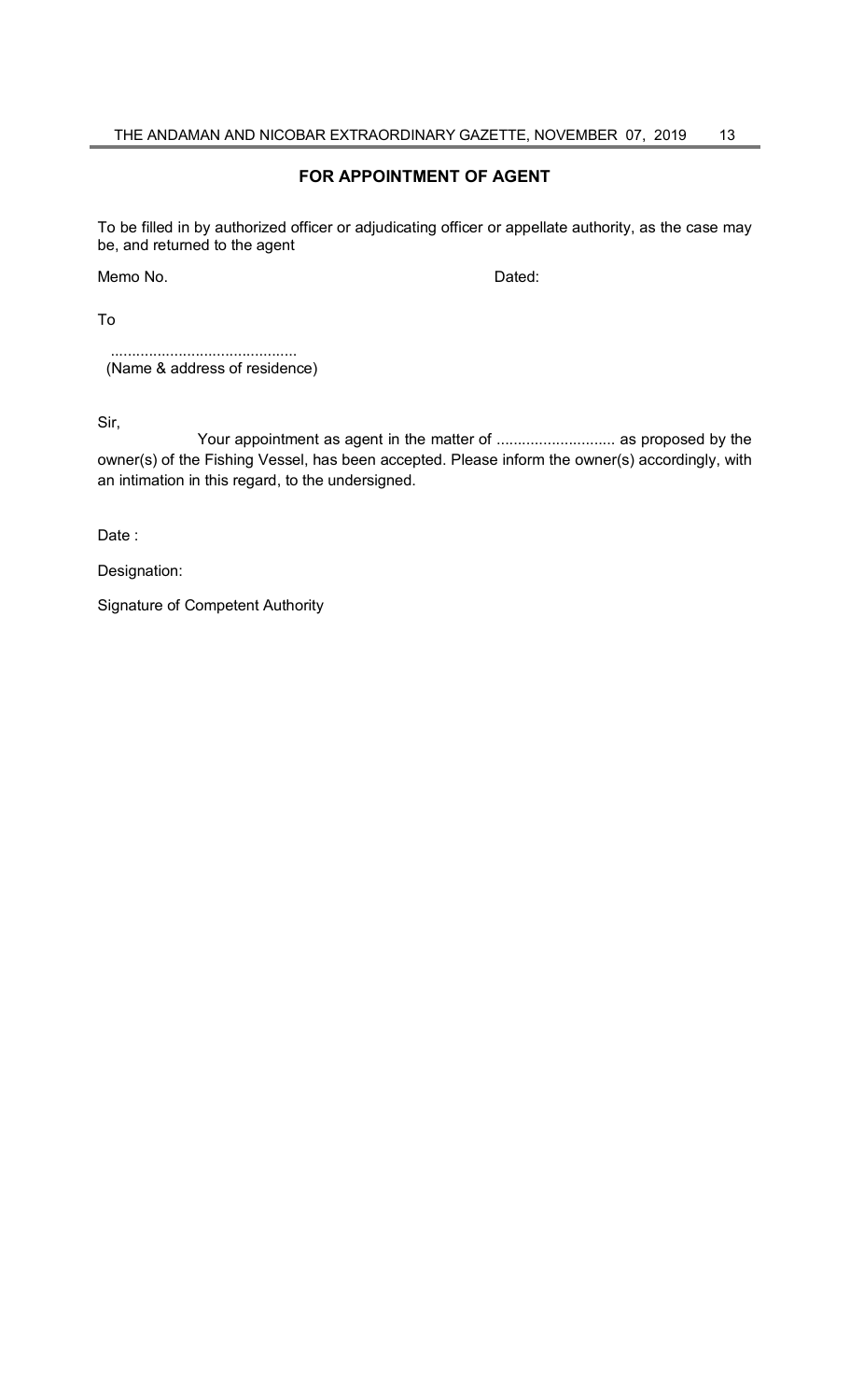### **FOR APPOINTMENT OF AGENT**

To be filled in by authorized officer or adjudicating officer or appellate authority, as the case may be, and returned to the agent

Memo No. 2008 and 2008 and 2008 and 2008 and 2008 and 2008 and 2008 and 2008 and 2008 and 2008 and 2008 and 20

To

 ............................................ (Name & address of residence)

Sir,

Your appointment as agent in the matter of ................................ as proposed by the owner(s) of the Fishing Vessel, has been accepted. Please inform the owner(s) accordingly, with an intimation in this regard, to the undersigned.

Date :

Designation:

Signature of Competent Authority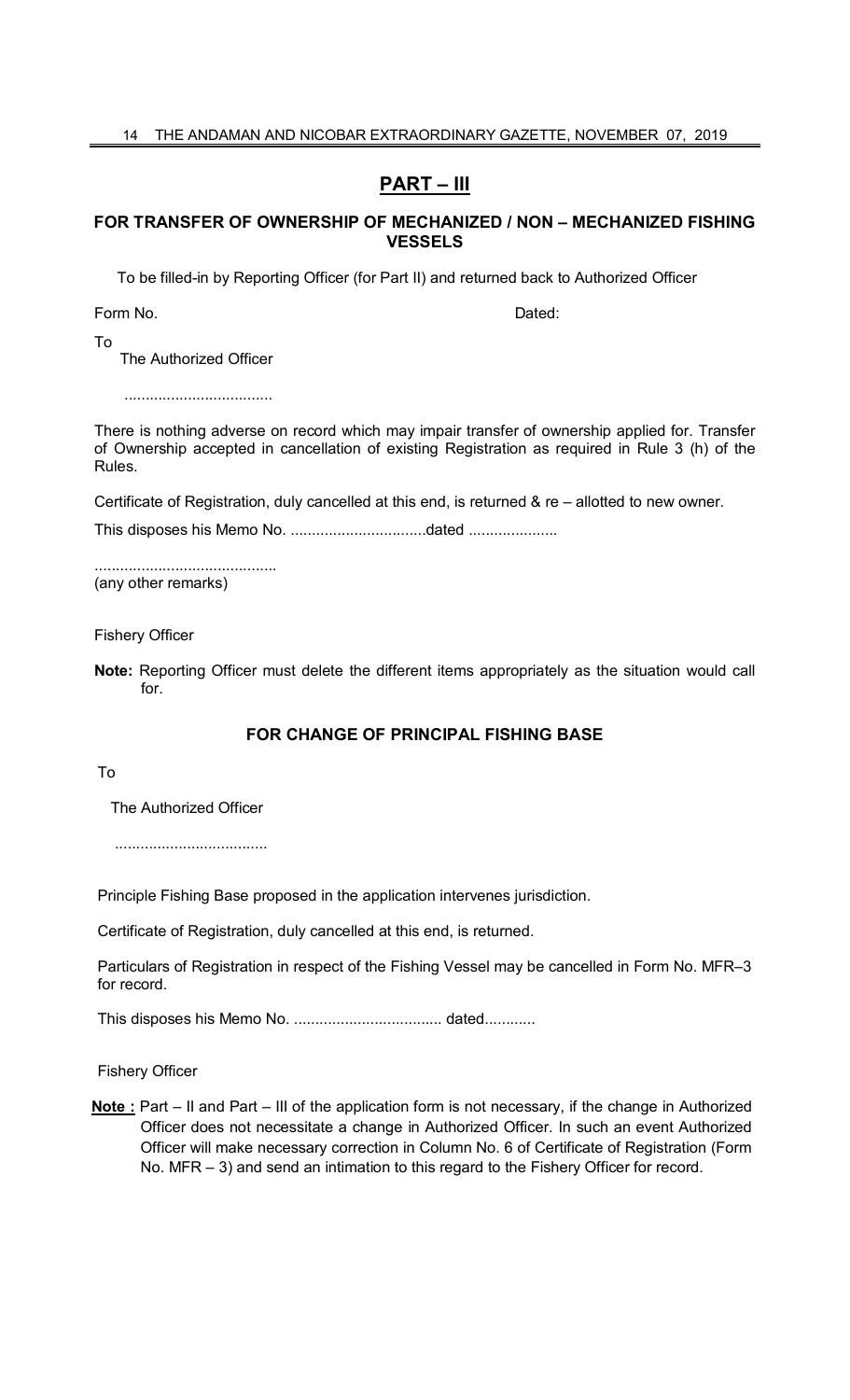# **PART – III**

### **FOR TRANSFER OF OWNERSHIP OF MECHANIZED / NON – MECHANIZED FISHING VESSELS**

To be filled-in by Reporting Officer (for Part II) and returned back to Authorized Officer

Form No. **Dated: Contract Contract Contract Contract Contract Contract Contract Contract Contract Contract Contract Contract Contract Contract Contract Contract Contract Contract Contract Contract Contract Contract Contr** 

To

The Authorized Officer

...................................

There is nothing adverse on record which may impair transfer of ownership applied for. Transfer of Ownership accepted in cancellation of existing Registration as required in Rule 3 (h) of the Rules.

Certificate of Registration, duly cancelled at this end, is returned & re – allotted to new owner.

This disposes his Memo No. ................................dated .....................

........................................... (any other remarks)

Fishery Officer

**Note:** Reporting Officer must delete the different items appropriately as the situation would call for.

### **FOR CHANGE OF PRINCIPAL FISHING BASE**

To

The Authorized Officer

....................................

Principle Fishing Base proposed in the application intervenes jurisdiction.

Certificate of Registration, duly cancelled at this end, is returned.

Particulars of Registration in respect of the Fishing Vessel may be cancelled in Form No. MFR–3 for record.

This disposes his Memo No. ................................... dated............

Fishery Officer

**Note :** Part – II and Part – III of the application form is not necessary, if the change in Authorized Officer does not necessitate a change in Authorized Officer. In such an event Authorized Officer will make necessary correction in Column No. 6 of Certificate of Registration (Form No. MFR – 3) and send an intimation to this regard to the Fishery Officer for record.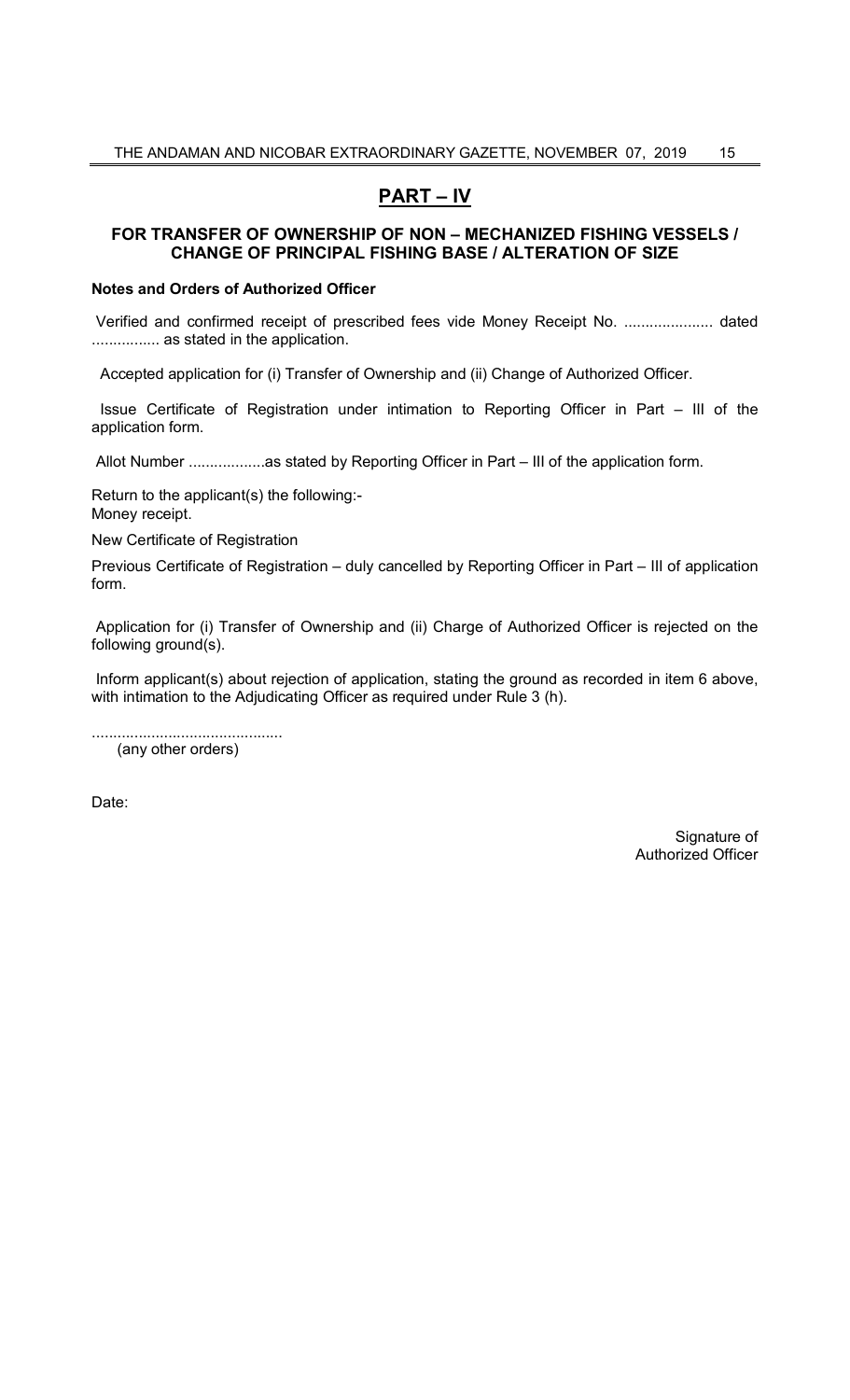# **PART – IV**

### **FOR TRANSFER OF OWNERSHIP OF NON – MECHANIZED FISHING VESSELS / CHANGE OF PRINCIPAL FISHING BASE / ALTERATION OF SIZE**

#### **Notes and Orders of Authorized Officer**

 Verified and confirmed receipt of prescribed fees vide Money Receipt No. ..................... dated ................. as stated in the application.

Accepted application for (i) Transfer of Ownership and (ii) Change of Authorized Officer.

 Issue Certificate of Registration under intimation to Reporting Officer in Part – III of the application form.

Allot Number ..................as stated by Reporting Officer in Part – III of the application form.

Return to the applicant(s) the following:- Money receipt.

New Certificate of Registration

Previous Certificate of Registration – duly cancelled by Reporting Officer in Part – III of application form.

 Application for (i) Transfer of Ownership and (ii) Charge of Authorized Officer is rejected on the following ground(s).

Inform applicant(s) about rejection of application, stating the ground as recorded in item 6 above, with intimation to the Adjudicating Officer as required under Rule 3 (h).

............................................. (any other orders)

Date:

 Signature of Authorized Officer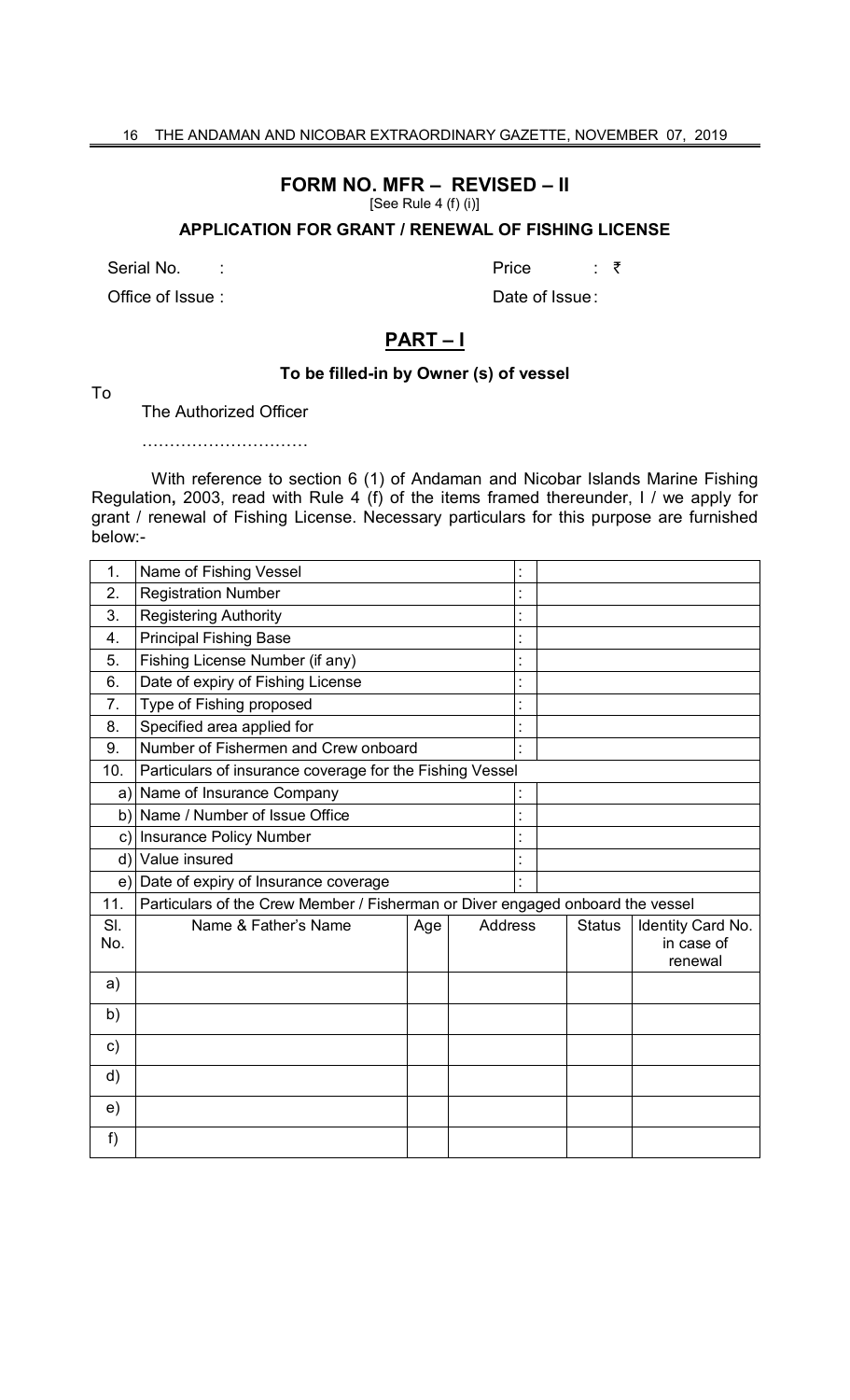## **FORM NO. MFR – REVISED – II**

[See Rule 4 (f) (i)]

### **APPLICATION FOR GRANT / RENEWAL OF FISHING LICENSE**

Office of Issue : Date of Issue :

Serial No. : a contract to the Price in ₹

## **PART – I**

### **To be filled-in by Owner (s) of vessel**

To

The Authorized Officer

…………………………

 With reference to section 6 (1) of Andaman and Nicobar Islands Marine Fishing Regulation**,** 2003, read with Rule 4 (f) of the items framed thereunder, I / we apply for grant / renewal of Fishing License. Necessary particulars for this purpose are furnished below:-

| 1.           | Name of Fishing Vessel                                                         |     |                | t                    |  |               |                                            |
|--------------|--------------------------------------------------------------------------------|-----|----------------|----------------------|--|---------------|--------------------------------------------|
| 2.           | <b>Registration Number</b>                                                     |     |                |                      |  |               |                                            |
| 3.           | <b>Registering Authority</b>                                                   |     |                | $\blacksquare$       |  |               |                                            |
| 4.           | <b>Principal Fishing Base</b>                                                  |     |                | $\ddot{\phantom{a}}$ |  |               |                                            |
| 5.           | Fishing License Number (if any)                                                |     |                | $\blacksquare$       |  |               |                                            |
| 6.           | Date of expiry of Fishing License                                              |     |                |                      |  |               |                                            |
| 7.           | Type of Fishing proposed                                                       |     |                |                      |  |               |                                            |
| 8.           | Specified area applied for                                                     |     |                |                      |  |               |                                            |
| 9.           | Number of Fishermen and Crew onboard                                           |     |                | $\vdots$             |  |               |                                            |
| 10.          | Particulars of insurance coverage for the Fishing Vessel                       |     |                |                      |  |               |                                            |
| a)           | Name of Insurance Company                                                      |     |                |                      |  |               |                                            |
| b)           | Name / Number of Issue Office                                                  |     |                |                      |  |               |                                            |
| C)           | <b>Insurance Policy Number</b>                                                 |     |                |                      |  |               |                                            |
| $\mathsf{d}$ | Value insured                                                                  |     |                |                      |  |               |                                            |
| e)           | Date of expiry of Insurance coverage                                           |     |                |                      |  |               |                                            |
| 11.          | Particulars of the Crew Member / Fisherman or Diver engaged onboard the vessel |     |                |                      |  |               |                                            |
| SI.<br>No.   | Name & Father's Name                                                           | Age | <b>Address</b> |                      |  | <b>Status</b> | Identity Card No.<br>in case of<br>renewal |
| a)           |                                                                                |     |                |                      |  |               |                                            |
| b)           |                                                                                |     |                |                      |  |               |                                            |
| $\mathbf{C}$ |                                                                                |     |                |                      |  |               |                                            |
| d)           |                                                                                |     |                |                      |  |               |                                            |
| e)           |                                                                                |     |                |                      |  |               |                                            |
| f)           |                                                                                |     |                |                      |  |               |                                            |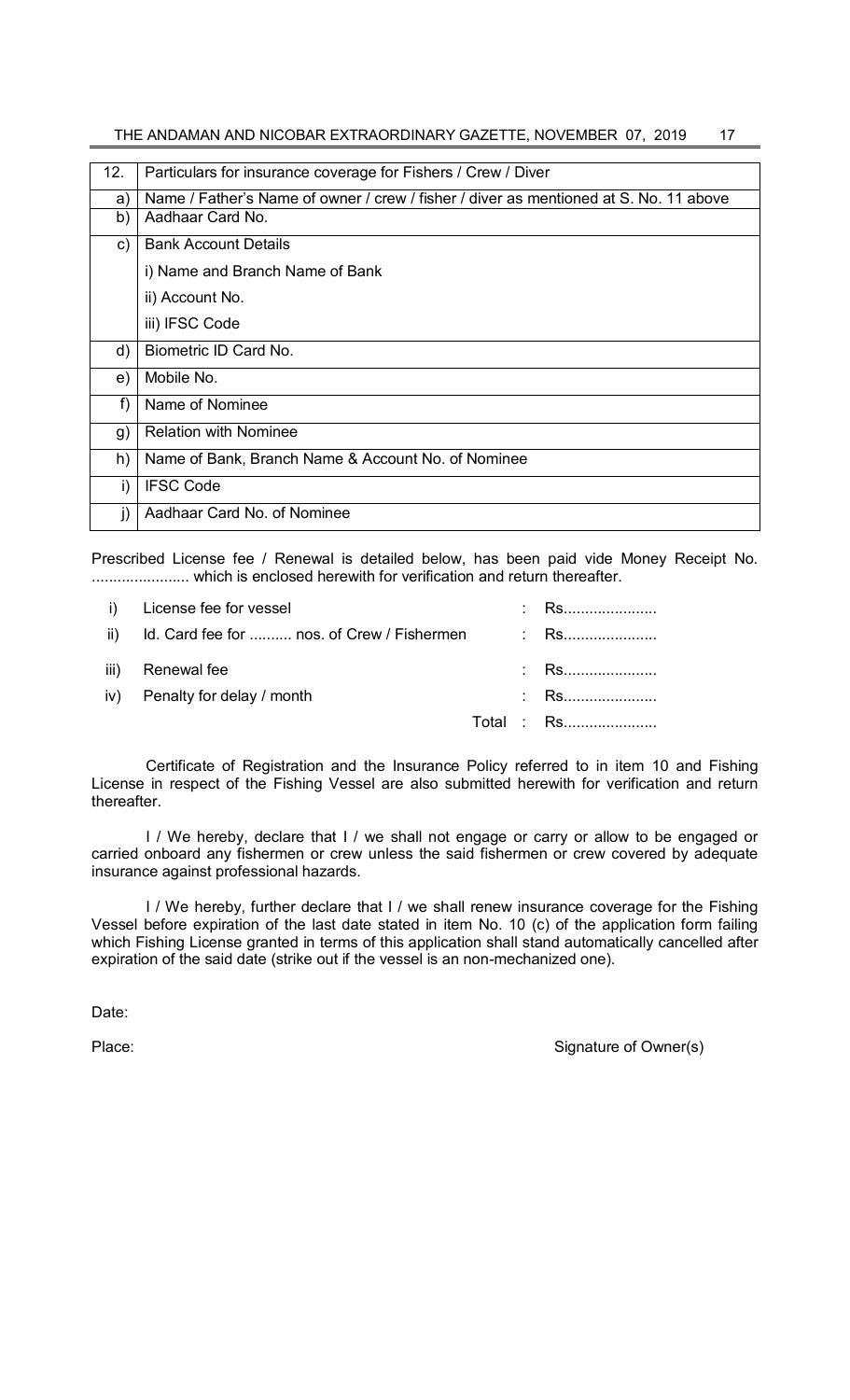| 12. | Particulars for insurance coverage for Fishers / Crew / Diver                         |
|-----|---------------------------------------------------------------------------------------|
| a)  | Name / Father's Name of owner / crew / fisher / diver as mentioned at S. No. 11 above |
| b)  | Aadhaar Card No.                                                                      |
| C)  | <b>Bank Account Details</b>                                                           |
|     | i) Name and Branch Name of Bank                                                       |
|     | ii) Account No.                                                                       |
|     | iii) IFSC Code                                                                        |
| d)  | Biometric ID Card No.                                                                 |
| e)  | Mobile No.                                                                            |
| f)  | Name of Nominee                                                                       |
| g)  | <b>Relation with Nominee</b>                                                          |
| h)  | Name of Bank, Branch Name & Account No. of Nominee                                    |
| i)  | <b>IFSC Code</b>                                                                      |
| j)  | Aadhaar Card No. of Nominee                                                           |

Prescribed License fee / Renewal is detailed below, has been paid vide Money Receipt No. ....................... which is enclosed herewith for verification and return thereafter.

|     | i) License fee for vessel                  |  | : Rs       |
|-----|--------------------------------------------|--|------------|
| ii) | Id. Card fee for  nos. of Crew / Fishermen |  | : Rs       |
|     | iii) Renewal fee                           |  | : Rs       |
|     | iv) Penalty for delay / month              |  | : Rs       |
|     |                                            |  | Total : Rs |

 Certificate of Registration and the Insurance Policy referred to in item 10 and Fishing License in respect of the Fishing Vessel are also submitted herewith for verification and return thereafter.

I / We hereby, declare that I / we shall not engage or carry or allow to be engaged or carried onboard any fishermen or crew unless the said fishermen or crew covered by adequate insurance against professional hazards.

 I / We hereby, further declare that I / we shall renew insurance coverage for the Fishing Vessel before expiration of the last date stated in item No. 10 (c) of the application form failing which Fishing License granted in terms of this application shall stand automatically cancelled after expiration of the said date (strike out if the vessel is an non-mechanized one).

Date:

Place: Signature of Owner(s)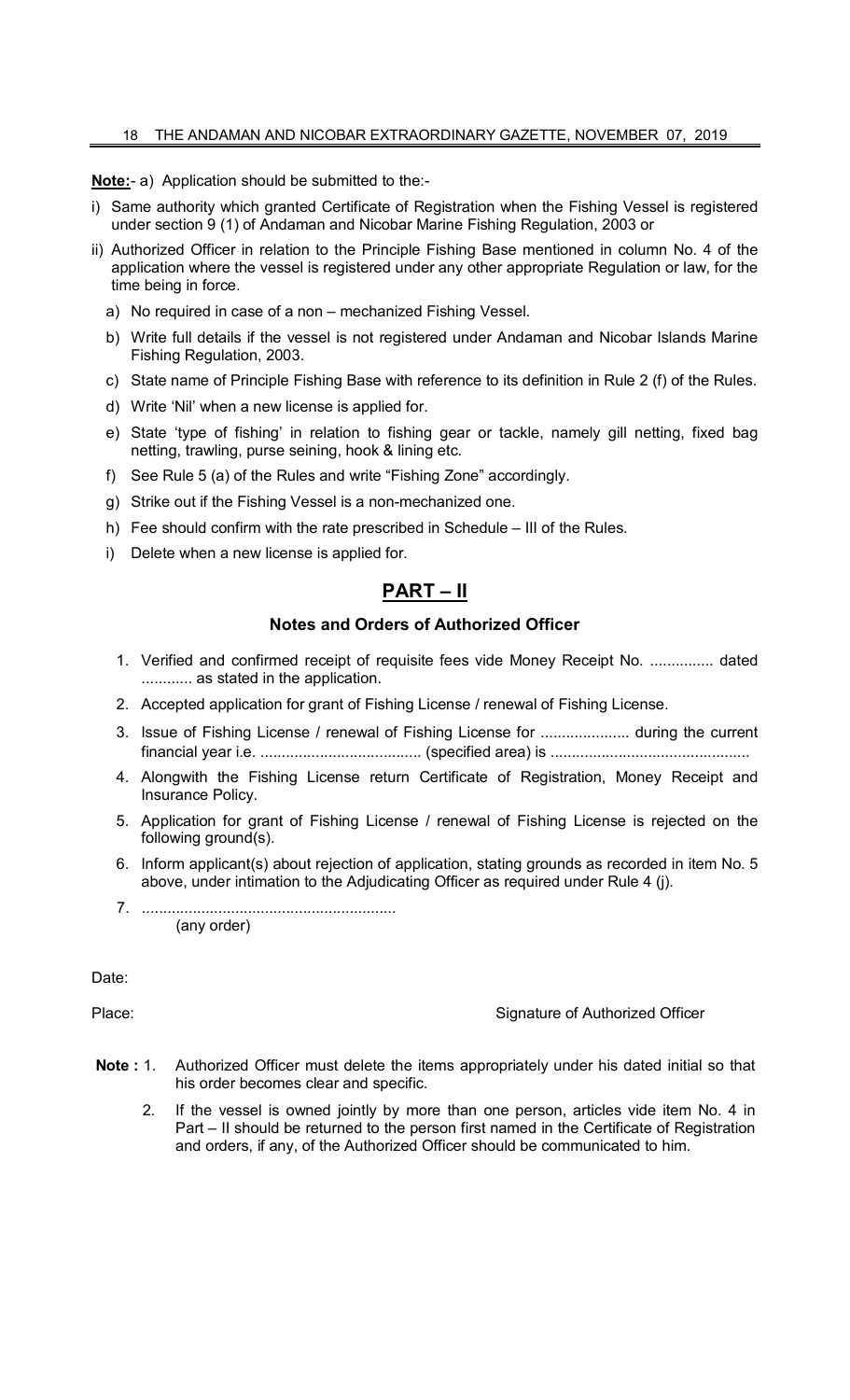**Note:**- a) Application should be submitted to the:-

- i) Same authority which granted Certificate of Registration when the Fishing Vessel is registered under section 9 (1) of Andaman and Nicobar Marine Fishing Regulation, 2003 or
- ii) Authorized Officer in relation to the Principle Fishing Base mentioned in column No. 4 of the application where the vessel is registered under any other appropriate Regulation or law, for the time being in force.
	- a) No required in case of a non mechanized Fishing Vessel.
	- b) Write full details if the vessel is not registered under Andaman and Nicobar Islands Marine Fishing Regulation, 2003.
	- c) State name of Principle Fishing Base with reference to its definition in Rule 2 (f) of the Rules.
	- d) Write 'Nil' when a new license is applied for.
	- e) State 'type of fishing' in relation to fishing gear or tackle, namely gill netting, fixed bag netting, trawling, purse seining, hook & lining etc.
	- f) See Rule 5 (a) of the Rules and write "Fishing Zone" accordingly.
	- g) Strike out if the Fishing Vessel is a non-mechanized one.
	- h) Fee should confirm with the rate prescribed in Schedule III of the Rules.
	- i) Delete when a new license is applied for.

# **PART – II**

### **Notes and Orders of Authorized Officer**

- 1. Verified and confirmed receipt of requisite fees vide Money Receipt No. ............... dated ............ as stated in the application.
- 2. Accepted application for grant of Fishing License / renewal of Fishing License.
- 3. Issue of Fishing License / renewal of Fishing License for ..................... during the current financial year i.e. ...................................... (specified area) is ...............................................
- 4. Alongwith the Fishing License return Certificate of Registration, Money Receipt and Insurance Policy.
- 5. Application for grant of Fishing License / renewal of Fishing License is rejected on the following ground(s).
- 6. Inform applicant(s) about rejection of application, stating grounds as recorded in item No. 5 above, under intimation to the Adjudicating Officer as required under Rule 4 (j).
- 7. ............................................................ (any order)

Date:

### Place: Signature of Authorized Officer

- **Note :** 1. Authorized Officer must delete the items appropriately under his dated initial so that his order becomes clear and specific.
	- 2. If the vessel is owned jointly by more than one person, articles vide item No. 4 in Part – II should be returned to the person first named in the Certificate of Registration and orders, if any, of the Authorized Officer should be communicated to him.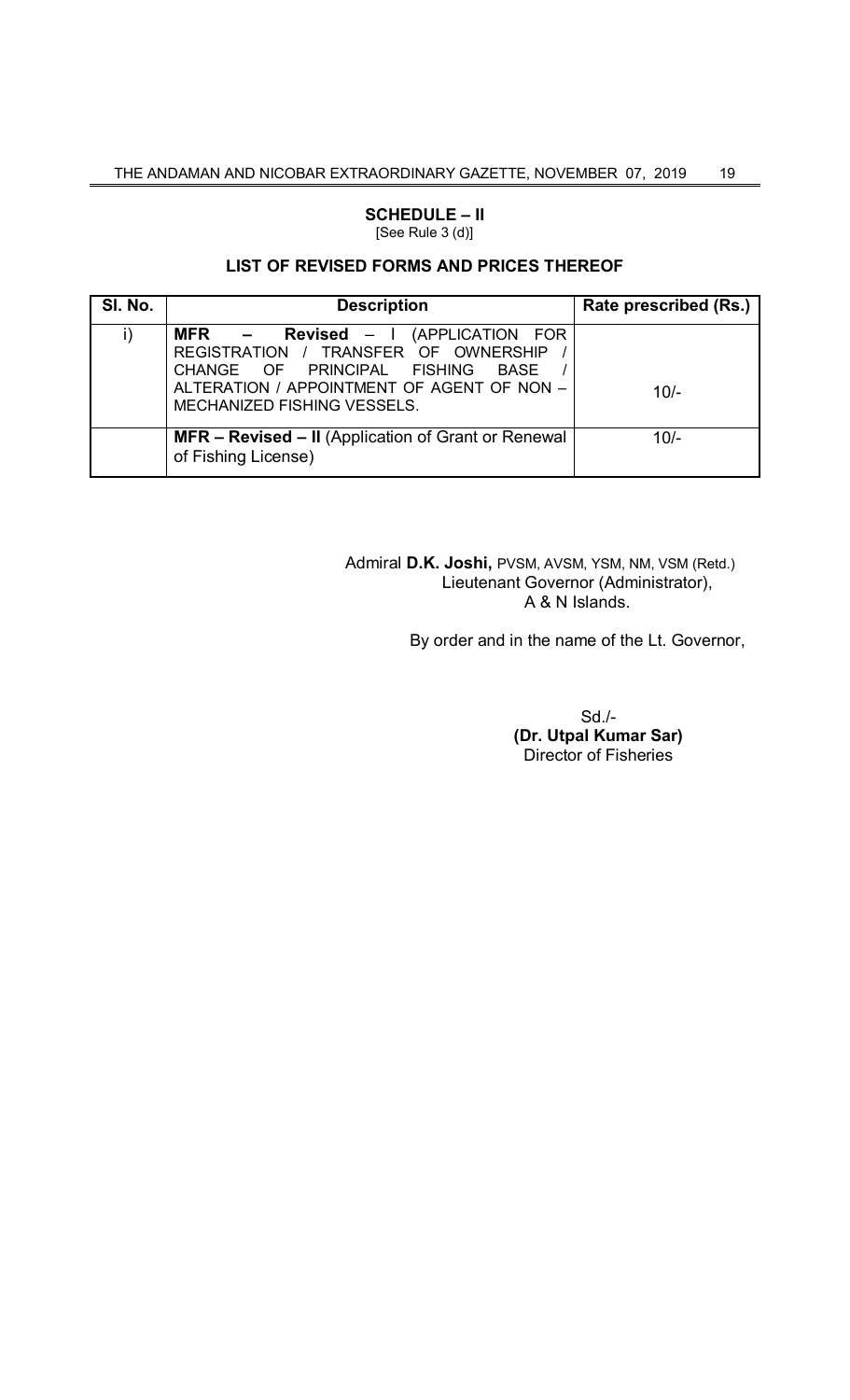### **SCHEDULE – II** [See Rule 3 (d)]

### **LIST OF REVISED FORMS AND PRICES THEREOF**

| SI. No. | <b>Description</b>                                                                                                                                                                                                          | Rate prescribed (Rs.) |
|---------|-----------------------------------------------------------------------------------------------------------------------------------------------------------------------------------------------------------------------------|-----------------------|
|         | <b>MFR</b><br><b>Revised - I (APPLICATION FOR</b><br>$\sim$ $-$<br>REGISTRATION / TRANSFER OF OWNERSHIP<br>CHANGE OF PRINCIPAL FISHING<br>BASE<br>ALTERATION / APPOINTMENT OF AGENT OF NON -<br>MECHANIZED FISHING VESSELS. | $10/-$                |
|         | <b>MFR – Revised – II</b> (Application of Grant or Renewal<br>of Fishing License)                                                                                                                                           | $10/-$                |

Admiral **D.K. Joshi,** PVSM, AVSM, YSM, NM, VSM (Retd.) Lieutenant Governor (Administrator), A & N Islands.

By order and in the name of the Lt. Governor,

Sd./- **(Dr. Utpal Kumar Sar)** Director of Fisheries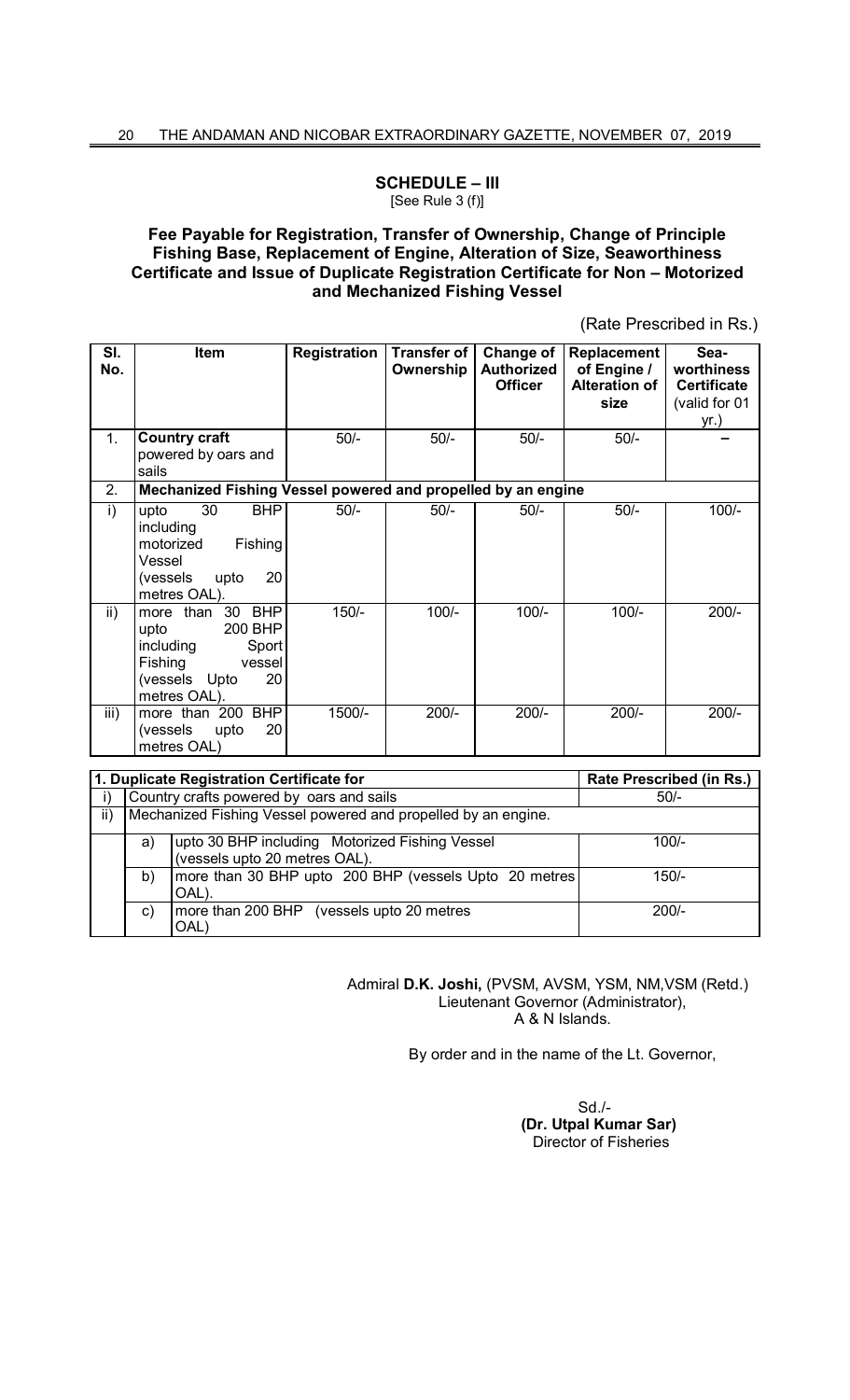#### **SCHEDULE – III**  [See Rule 3 (f)]

### **Fee Payable for Registration, Transfer of Ownership, Change of Principle Fishing Base, Replacement of Engine, Alteration of Size, Seaworthiness Certificate and Issue of Duplicate Registration Certificate for Non – Motorized and Mechanized Fishing Vessel**

(Rate Prescribed in Rs.)

| SI.<br>No.                                          | <b>Item</b>                                                                                                                                        | <b>Registration</b> | <b>Transfer of</b><br>Ownership | Change of<br><b>Authorized</b><br><b>Officer</b> | Replacement<br>of Engine /<br><b>Alteration of</b><br>size | Sea-<br>worthiness<br><b>Certificate</b><br>(valid for 01<br>yr.) |  |
|-----------------------------------------------------|----------------------------------------------------------------------------------------------------------------------------------------------------|---------------------|---------------------------------|--------------------------------------------------|------------------------------------------------------------|-------------------------------------------------------------------|--|
| 1.                                                  | <b>Country craft</b><br>powered by oars and<br>sails                                                                                               | $50/-$              | $50/-$                          | $50/-$                                           | $50/-$                                                     |                                                                   |  |
| 2.                                                  | Mechanized Fishing Vessel powered and propelled by an engine                                                                                       |                     |                                 |                                                  |                                                            |                                                                   |  |
| i)<br>ii)                                           | 30<br><b>BHP</b><br>upto<br>including<br>Fishing<br>motorized<br>Vessel<br>20<br>(vessels<br>upto<br>metres OAL).<br><b>BHP</b><br>30<br>more than | $50/-$<br>$150/-$   | $50/-$<br>$100/-$               | $50/-$<br>$100/-$                                | $50/-$<br>$100/-$                                          | $100/-$<br>$200/-$                                                |  |
|                                                     | 200 BHP<br>upto<br>including<br>Sport<br>Fishing<br>vessel<br>(vessels Upto<br>20<br>metres OAL).                                                  |                     |                                 |                                                  |                                                            |                                                                   |  |
| iii)                                                | <b>BHP</b><br>more than 200<br>20<br>(vessels<br>upto<br>metres OAL)                                                                               | 1500/-              | $200/-$                         | $200/-$                                          | $200/-$                                                    | $200/-$                                                           |  |
|                                                     |                                                                                                                                                    |                     |                                 |                                                  |                                                            |                                                                   |  |
| 1. Duplicate Registration Certificate for           |                                                                                                                                                    |                     |                                 |                                                  | Rate Prescribed (in Rs.)                                   |                                                                   |  |
| Country crafts powered by oars and sails<br>$\vert$ |                                                                                                                                                    |                     |                                 |                                                  |                                                            | $50/-$                                                            |  |

|     |                                                               | Country crafts powered by oars and sails                                        | $50/-$  |  |  |  |
|-----|---------------------------------------------------------------|---------------------------------------------------------------------------------|---------|--|--|--|
| ii) | Mechanized Fishing Vessel powered and propelled by an engine. |                                                                                 |         |  |  |  |
|     | a)                                                            | upto 30 BHP including Motorized Fishing Vessel<br>(vessels upto 20 metres OAL). | $100/-$ |  |  |  |
|     | b)                                                            | more than 30 BHP upto 200 BHP (vessels Upto 20 metres)<br>OAL).                 | 150/-   |  |  |  |
|     | C)                                                            | more than 200 BHP (vessels upto 20 metres<br>OAL)                               | $200/-$ |  |  |  |

Admiral **D.K. Joshi,** (PVSM, AVSM, YSM, NM,VSM (Retd.) Lieutenant Governor (Administrator), A & N Islands.

By order and in the name of the Lt. Governor,

 $S$ d./- $S$ d./- $S$ d./- $S$ d./- $S$ d./- $S$ d./- $S$ d./- $S$ d./- $S$ d./- $S$ d./- $S$ d./- $S$ d./- $S$ d./- $S$ d./- $S$ d./- $S$ d./- $S$ d./- $S$ d./- $S$ d./- $S$ d./- $S$ d./- $S$ d./- $S$ d./- $S$ d./- $S$ d./- $S$ d./- $S$ d./- $S$ d./- $S$ d./- $S$ d./- $S$ d./- $S$ d  **(Dr. Utpal Kumar Sar)** Director of Fisheries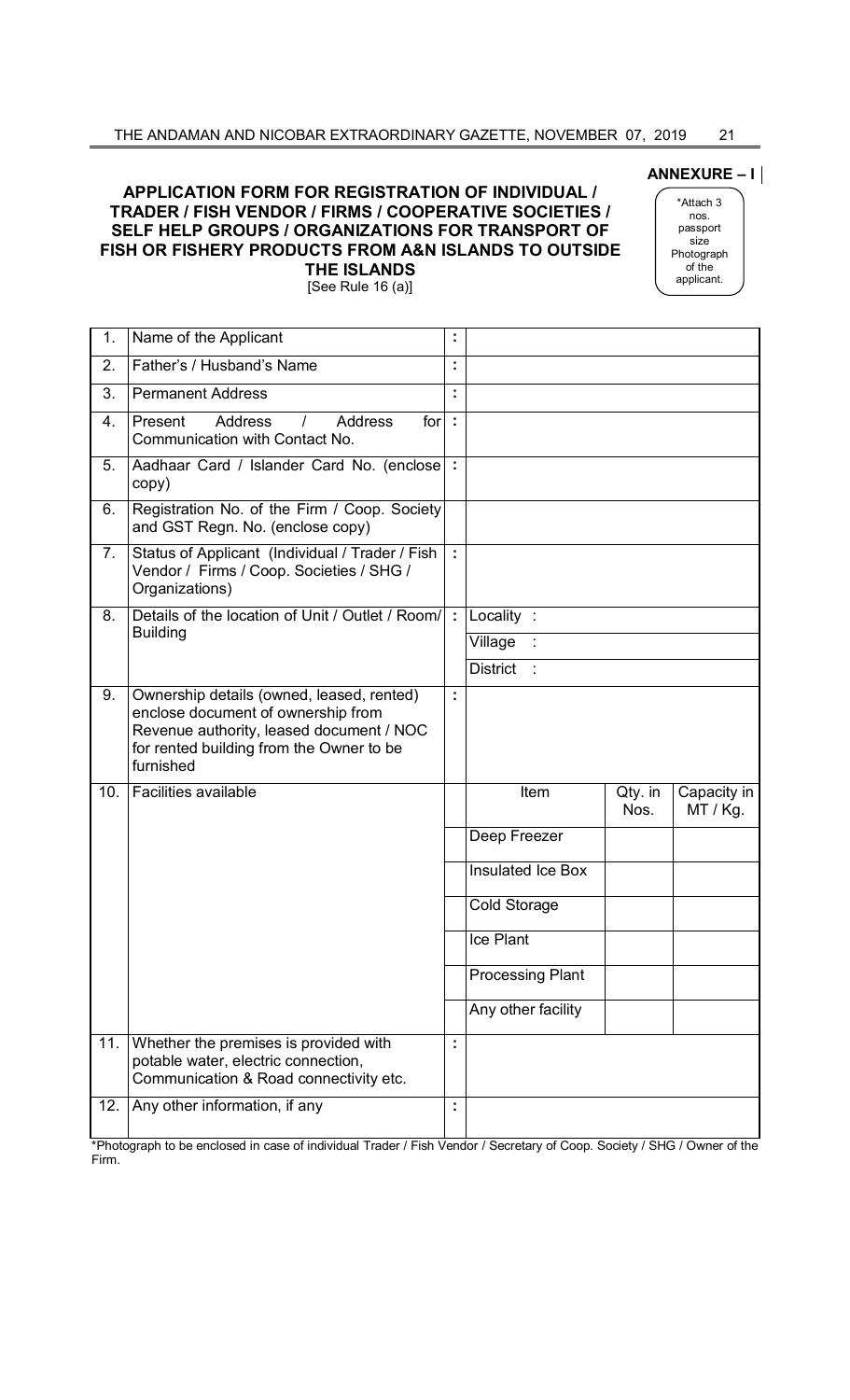#### **ANNEXURE – I**

### **APPLICATION FORM FOR REGISTRATION OF INDIVIDUAL / TRADER / FISH VENDOR / FIRMS / COOPERATIVE SOCIETIES / SELF HELP GROUPS / ORGANIZATIONS FOR TRANSPORT OF FISH OR FISHERY PRODUCTS FROM A&N ISLANDS TO OUTSIDE THE ISLANDS** [See Rule 16 (a)]

\*Attach 3 nos. passport size Photograph of the applicant.

| 1.  | Name of the Applicant                                                                                                                                                                |                             |                         |                 |                         |
|-----|--------------------------------------------------------------------------------------------------------------------------------------------------------------------------------------|-----------------------------|-------------------------|-----------------|-------------------------|
| 2.  | Father's / Husband's Name                                                                                                                                                            | ٠                           |                         |                 |                         |
| 3.  | <b>Permanent Address</b>                                                                                                                                                             |                             |                         |                 |                         |
| 4.  | Present<br><b>Address</b><br>Address<br>for $\vdots$<br>$\prime$<br>Communication with Contact No.                                                                                   |                             |                         |                 |                         |
| 5.  | Aadhaar Card / Islander Card No. (enclose):<br>copy)                                                                                                                                 |                             |                         |                 |                         |
| 6.  | Registration No. of the Firm / Coop. Society<br>and GST Regn. No. (enclose copy)                                                                                                     |                             |                         |                 |                         |
| 7.  | Status of Applicant (Individual / Trader / Fish<br>Vendor / Firms / Coop. Societies / SHG /<br>Organizations)                                                                        |                             |                         |                 |                         |
| 8.  | Details of the location of Unit / Outlet / Room/                                                                                                                                     | $\mathcal{L}_{\mathcal{L}}$ | Locality:               |                 |                         |
|     | <b>Building</b>                                                                                                                                                                      |                             | Village                 |                 |                         |
|     |                                                                                                                                                                                      |                             | <b>District</b>         |                 |                         |
| 9.  | Ownership details (owned, leased, rented)<br>enclose document of ownership from<br>Revenue authority, leased document / NOC<br>for rented building from the Owner to be<br>furnished | t,                          |                         |                 |                         |
| 10. | <b>Facilities available</b>                                                                                                                                                          |                             | Item                    | Qty. in<br>Nos. | Capacity in<br>MT / Kg. |
|     |                                                                                                                                                                                      |                             | Deep Freezer            |                 |                         |
|     |                                                                                                                                                                                      |                             | Insulated Ice Box       |                 |                         |
|     |                                                                                                                                                                                      |                             | Cold Storage            |                 |                         |
|     |                                                                                                                                                                                      |                             | Ice Plant               |                 |                         |
|     |                                                                                                                                                                                      |                             | <b>Processing Plant</b> |                 |                         |
|     |                                                                                                                                                                                      |                             | Any other facility      |                 |                         |
| 11. | Whether the premises is provided with<br>potable water, electric connection,<br>Communication & Road connectivity etc.                                                               |                             |                         |                 |                         |
| 12. | Any other information, if any                                                                                                                                                        | ÷                           |                         |                 |                         |
|     |                                                                                                                                                                                      |                             |                         |                 |                         |

\*Photograph to be enclosed in case of individual Trader / Fish Vendor / Secretary of Coop. Society / SHG / Owner of the Firm.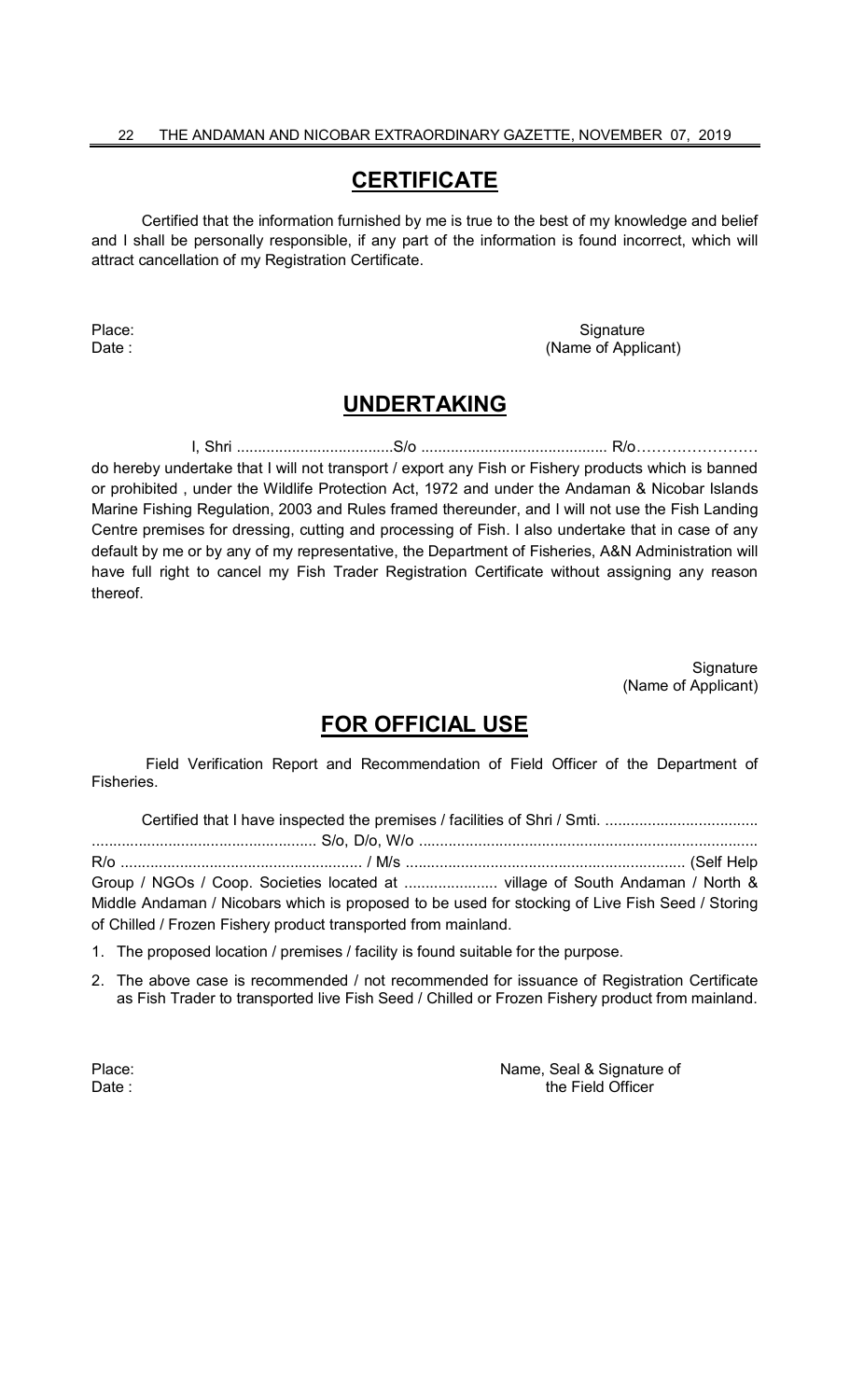# **CERTIFICATE**

Certified that the information furnished by me is true to the best of my knowledge and belief and I shall be personally responsible, if any part of the information is found incorrect, which will attract cancellation of my Registration Certificate.

Place: Signature Signature Communications of the Signature Signature Signature Date : (Name of Applicant)

# **UNDERTAKING**

I, Shri .....................................S/o ............................................ R/o……………………

do hereby undertake that I will not transport / export any Fish or Fishery products which is banned or prohibited , under the Wildlife Protection Act, 1972 and under the Andaman & Nicobar Islands Marine Fishing Regulation, 2003 and Rules framed thereunder, and I will not use the Fish Landing Centre premises for dressing, cutting and processing of Fish. I also undertake that in case of any default by me or by any of my representative, the Department of Fisheries, A&N Administration will have full right to cancel my Fish Trader Registration Certificate without assigning any reason thereof.

> **Signature** (Name of Applicant)

# **FOR OFFICIAL USE**

Field Verification Report and Recommendation of Field Officer of the Department of Fisheries.

| Group / NGOs / Coop. Societies located at  village of South Andaman / North &                   |  |  |  |  |
|-------------------------------------------------------------------------------------------------|--|--|--|--|
| Middle Andaman / Nicobars which is proposed to be used for stocking of Live Fish Seed / Storing |  |  |  |  |
| of Chilled / Frozen Fishery product transported from mainland.                                  |  |  |  |  |

1. The proposed location / premises / facility is found suitable for the purpose.

2. The above case is recommended / not recommended for issuance of Registration Certificate as Fish Trader to transported live Fish Seed / Chilled or Frozen Fishery product from mainland.

Place: Name, Seal & Signature of Date : the Field Officer in the Field Officer in the Field Officer in the Field Officer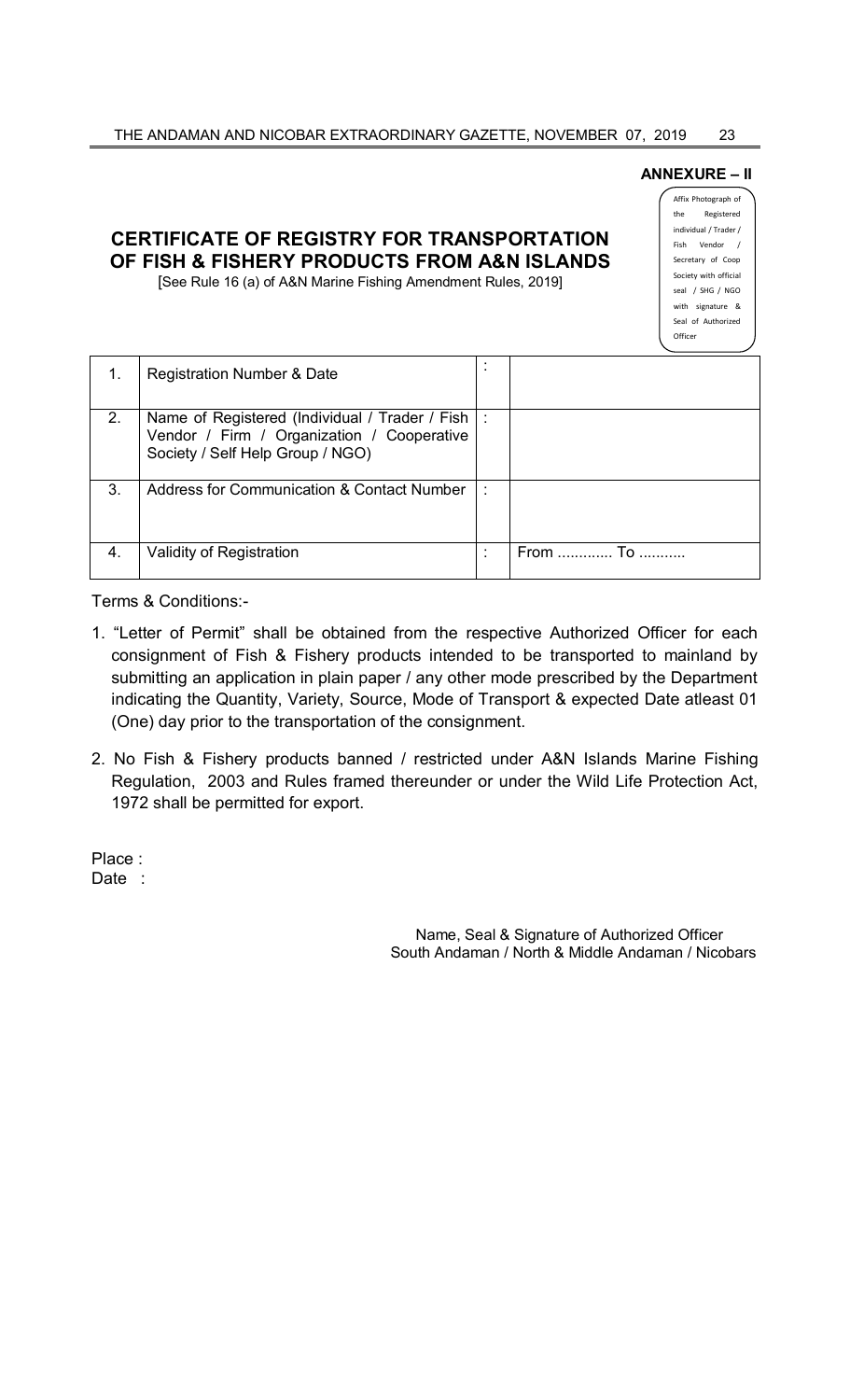### THE ANDAMAN AND NICOBAR EXTRAORDINARY GAZETTE, NOVEMBER 07, 2019 23

|                  | <b>CERTIFICATE OF REGISTRY FOR TRANSPORTATION</b><br>OF FISH & FISHERY PRODUCTS FROM A&N ISLANDS<br>[See Rule 16 (a) of A&N Marine Fishing Amendment Rules, 2019] |   | <b>ANNEXURE – II</b><br>Affix Photograph of<br>Registered<br>the<br>individual / Trader /<br>Vendor /<br>Fish<br>Secretary of Coop<br>Society with official<br>seal / SHG / NGO<br>with signature &<br>Seal of Authorized<br>Officer |
|------------------|-------------------------------------------------------------------------------------------------------------------------------------------------------------------|---|--------------------------------------------------------------------------------------------------------------------------------------------------------------------------------------------------------------------------------------|
| 1.               | <b>Registration Number &amp; Date</b>                                                                                                                             | ٠ |                                                                                                                                                                                                                                      |
| $\overline{2}$ . | Name of Registered (Individual / Trader / Fish<br>Vendor / Firm / Organization / Cooperative<br>Society / Self Help Group / NGO)                                  |   |                                                                                                                                                                                                                                      |
| 3.               | Address for Communication & Contact Number                                                                                                                        |   |                                                                                                                                                                                                                                      |

Terms & Conditions:-

1. "Letter of Permit" shall be obtained from the respective Authorized Officer for each consignment of Fish & Fishery products intended to be transported to mainland by submitting an application in plain paper / any other mode prescribed by the Department indicating the Quantity, Variety, Source, Mode of Transport & expected Date atleast 01 (One) day prior to the transportation of the consignment.

4. Validity of Registration  $\vert : \vert$  From ............... To ...........

2. No Fish & Fishery products banned / restricted under A&N Islands Marine Fishing Regulation, 2003 and Rules framed thereunder or under the Wild Life Protection Act, 1972 shall be permitted for export.

Place : Date :

> Name, Seal & Signature of Authorized Officer South Andaman / North & Middle Andaman / Nicobars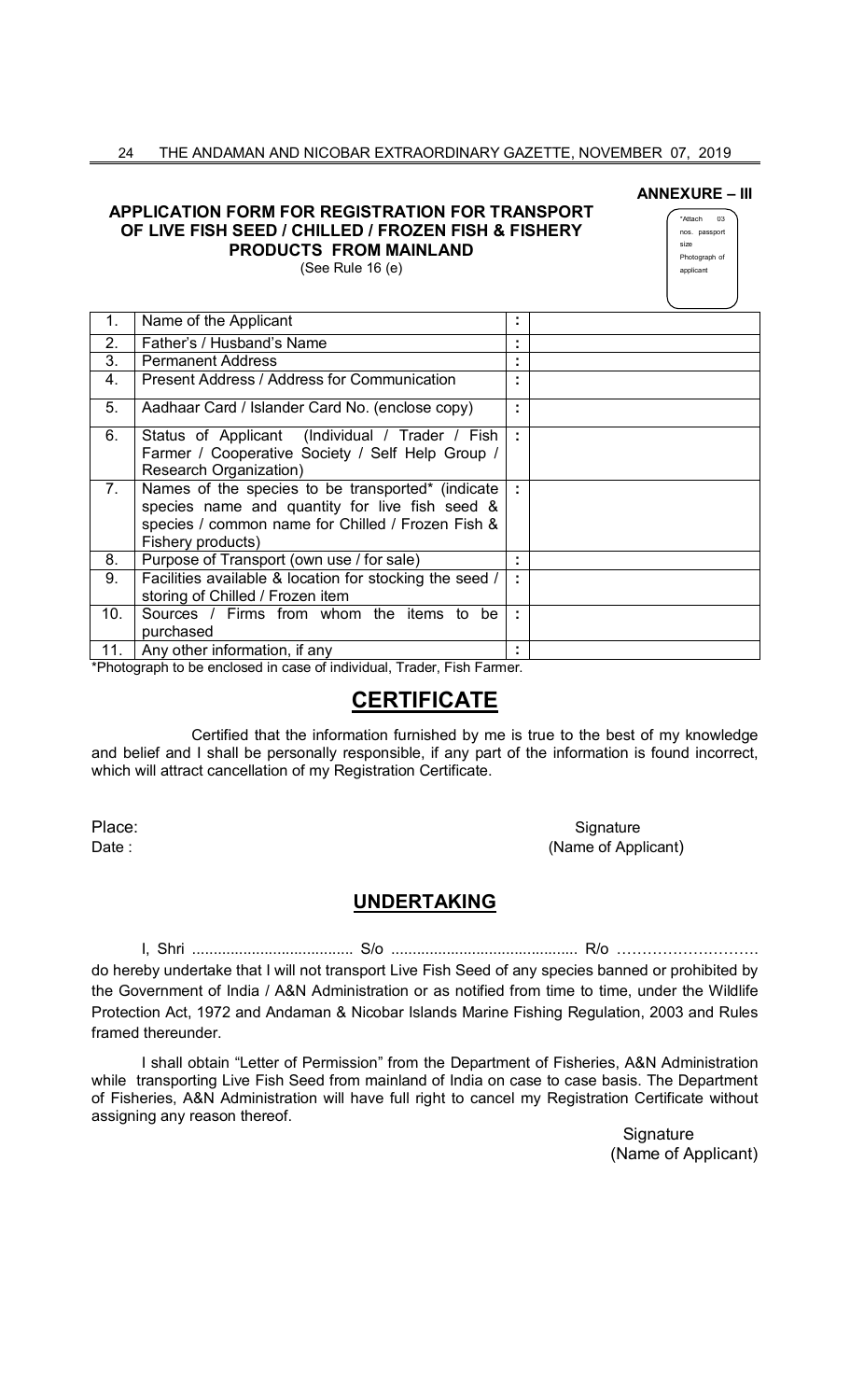#### 24 THE ANDAMAN AND NICOBAR EXTRAORDINARY GAZETTE, NOVEMBER 07, 2019

### **APPLICATION FORM FOR REGISTRATION FOR TRANSPORT OF LIVE FISH SEED / CHILLED / FROZEN FISH & FISHERY PRODUCTS FROM MAINLAND** (See Rule 16 (e)

| <b>ANNEXURE – III</b> |  |
|-----------------------|--|
|-----------------------|--|

\*Attach 03 nos. passport size Photograph of applicant

| 1.                                                                  | Name of the Applicant                                   |    |  |  |  |  |
|---------------------------------------------------------------------|---------------------------------------------------------|----|--|--|--|--|
| 2.                                                                  | Father's / Husband's Name                               | ٠  |  |  |  |  |
| 3.                                                                  | <b>Permanent Address</b>                                |    |  |  |  |  |
| 4.                                                                  | Present Address / Address for Communication             |    |  |  |  |  |
| 5.                                                                  | Aadhaar Card / Islander Card No. (enclose copy)         |    |  |  |  |  |
| 6.                                                                  | Status of Applicant (Individual / Trader / Fish         | ÷  |  |  |  |  |
|                                                                     | Farmer / Cooperative Society / Self Help Group /        |    |  |  |  |  |
|                                                                     | Research Organization)                                  |    |  |  |  |  |
| 7.                                                                  | Names of the species to be transported* (indicate)      | t. |  |  |  |  |
|                                                                     | species name and quantity for live fish seed &          |    |  |  |  |  |
|                                                                     | species / common name for Chilled / Frozen Fish &       |    |  |  |  |  |
|                                                                     | Fishery products)                                       |    |  |  |  |  |
| 8.                                                                  | Purpose of Transport (own use / for sale)               |    |  |  |  |  |
| 9.                                                                  | Facilities available & location for stocking the seed / |    |  |  |  |  |
|                                                                     | storing of Chilled / Frozen item                        |    |  |  |  |  |
| 10.                                                                 | Sources / Firms from whom the items<br>be<br>to         |    |  |  |  |  |
|                                                                     | purchased                                               |    |  |  |  |  |
| 11.                                                                 | Any other information, if any                           |    |  |  |  |  |
| *Dhataaranh ta ha qoolaaad in qoog af indiridual Trader Fieb Fermar |                                                         |    |  |  |  |  |

\*Photograph to be enclosed in case of individual, Trader, Fish Farmer.

# **CERTIFICATE**

Certified that the information furnished by me is true to the best of my knowledge and belief and I shall be personally responsible, if any part of the information is found incorrect, which will attract cancellation of my Registration Certificate.

Place: Signature Signature Communications of the Signature Signature Signature Date : (Name of Applicant)

## **UNDERTAKING**

I, Shri ...................................... S/o ............................................ R/o ………………………. do hereby undertake that I will not transport Live Fish Seed of any species banned or prohibited by the Government of India / A&N Administration or as notified from time to time, under the Wildlife Protection Act, 1972 and Andaman & Nicobar Islands Marine Fishing Regulation, 2003 and Rules framed thereunder.

I shall obtain "Letter of Permission" from the Department of Fisheries, A&N Administration while transporting Live Fish Seed from mainland of India on case to case basis. The Department of Fisheries, A&N Administration will have full right to cancel my Registration Certificate without assigning any reason thereof.

**Signature** (Name of Applicant)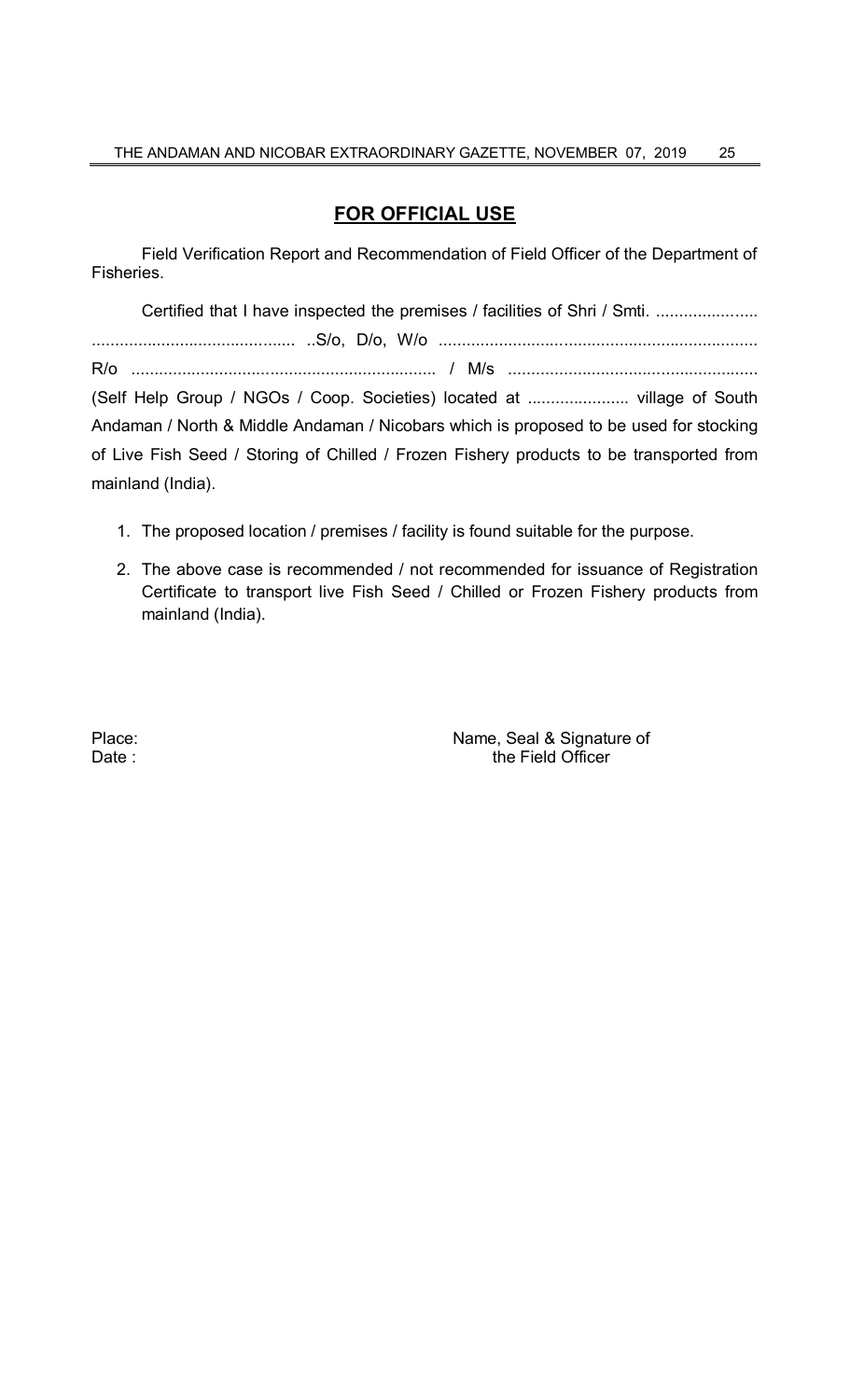# **FOR OFFICIAL USE**

Field Verification Report and Recommendation of Field Officer of the Department of Fisheries.

| Certified that I have inspected the premises / facilities of Shri / Smti.               |
|-----------------------------------------------------------------------------------------|
|                                                                                         |
|                                                                                         |
|                                                                                         |
| Andaman / North & Middle Andaman / Nicobars which is proposed to be used for stocking   |
| of Live Fish Seed / Storing of Chilled / Frozen Fishery products to be transported from |
| mainland (India).                                                                       |

- 1. The proposed location / premises / facility is found suitable for the purpose.
- 2. The above case is recommended / not recommended for issuance of Registration Certificate to transport live Fish Seed / Chilled or Frozen Fishery products from mainland (India).

Place: Name, Seal & Signature of Date : the Field Officer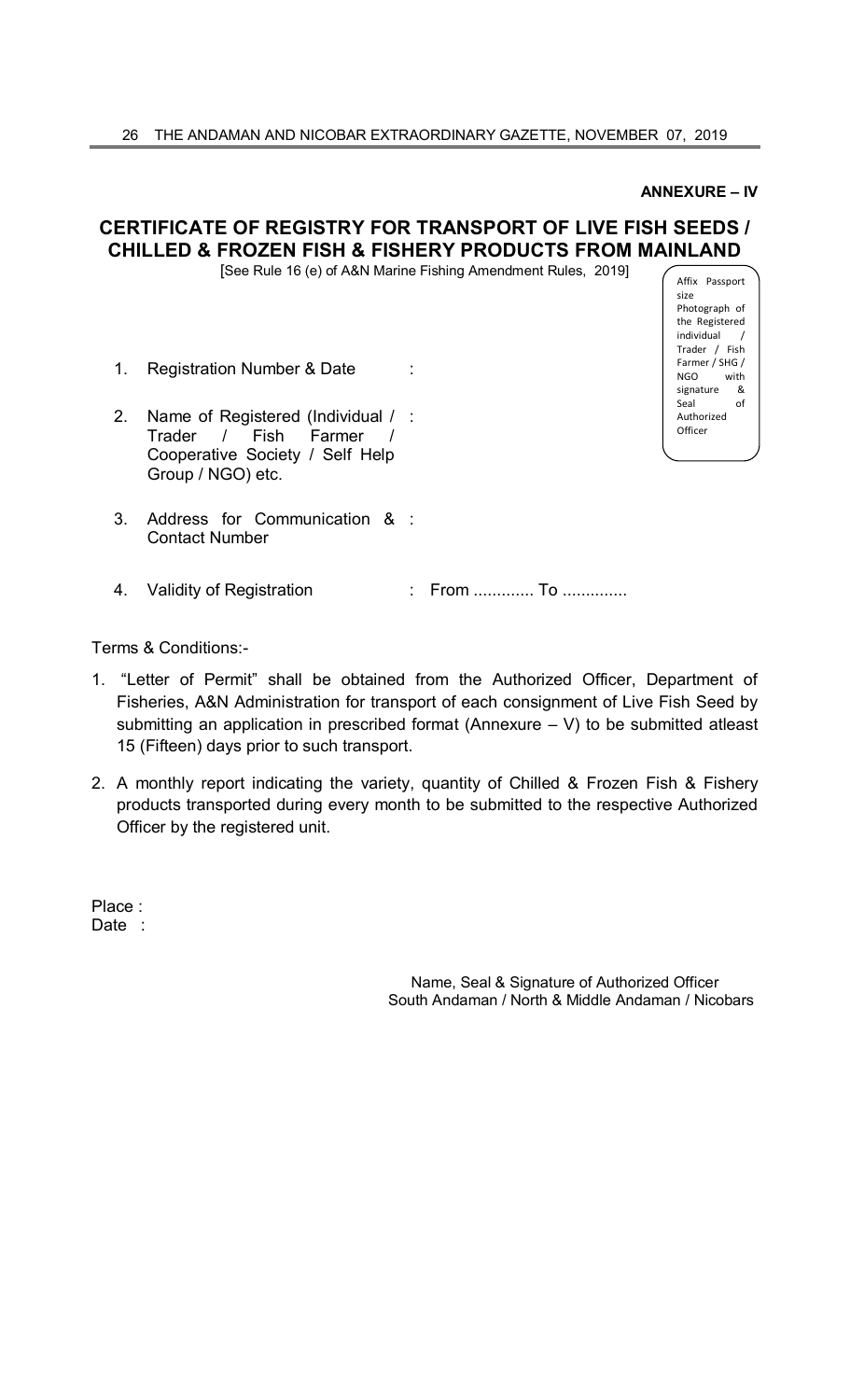**ANNEXURE – IV** 

Affix Passport

Photograph of the Registered individual / Trader / Fish Farmer / SHG / NGO with signature & Seal of Authorized **Officer** 

size

## **CERTIFICATE OF REGISTRY FOR TRANSPORT OF LIVE FISH SEEDS / CHILLED & FROZEN FISH & FISHERY PRODUCTS FROM MAINLAND**

[See Rule 16 (e) of A&N Marine Fishing Amendment Rules, 2019]

- 1. Registration Number & Date
- 2. Name of Registered (Individual / : Trader / Fish Farmer / Cooperative Society / Self Help Group / NGO) etc.
- 3. Address for Communication & : Contact Number
- 4. Validity of Registration : From .............. To ..............

Terms & Conditions:-

- 1. "Letter of Permit" shall be obtained from the Authorized Officer, Department of Fisheries, A&N Administration for transport of each consignment of Live Fish Seed by submitting an application in prescribed format (Annexure – V) to be submitted atleast 15 (Fifteen) days prior to such transport.
- 2. A monthly report indicating the variety, quantity of Chilled & Frozen Fish & Fishery products transported during every month to be submitted to the respective Authorized Officer by the registered unit.

Place : Date :

> Name, Seal & Signature of Authorized Officer South Andaman / North & Middle Andaman / Nicobars